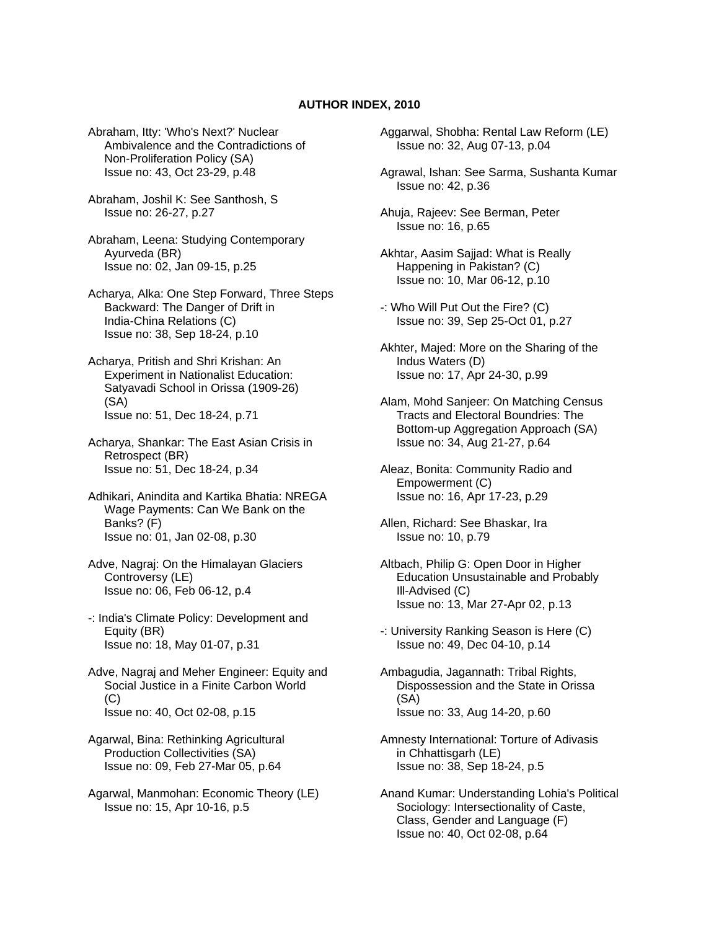## **AUTHOR INDEX, 2010**

Abraham, Itty: 'Who's Next?' Nuclear Ambivalence and the Contradictions of Non-Proliferation Policy (SA) Issue no: 43, Oct 23-29, p.48

Abraham, Joshil K: See Santhosh, S Issue no: 26-27, p.27

Abraham, Leena: Studying Contemporary Ayurveda (BR) Issue no: 02, Jan 09-15, p.25

Acharya, Alka: One Step Forward, Three Steps Backward: The Danger of Drift in India-China Relations (C) Issue no: 38, Sep 18-24, p.10

Acharya, Pritish and Shri Krishan: An Experiment in Nationalist Education: Satyavadi School in Orissa (1909-26) (SA) Issue no: 51, Dec 18-24, p.71

Acharya, Shankar: The East Asian Crisis in Retrospect (BR) Issue no: 51, Dec 18-24, p.34

- Adhikari, Anindita and Kartika Bhatia: NREGA Wage Payments: Can We Bank on the Banks? (F) Issue no: 01, Jan 02-08, p.30
- Adve, Nagraj: On the Himalayan Glaciers Controversy (LE) Issue no: 06, Feb 06-12, p.4
- -: India's Climate Policy: Development and Equity (BR) Issue no: 18, May 01-07, p.31

Adve, Nagraj and Meher Engineer: Equity and Social Justice in a Finite Carbon World (C) Issue no: 40, Oct 02-08, p.15

- Agarwal, Bina: Rethinking Agricultural Production Collectivities (SA) Issue no: 09, Feb 27-Mar 05, p.64
- Agarwal, Manmohan: Economic Theory (LE) Issue no: 15, Apr 10-16, p.5

Aggarwal, Shobha: Rental Law Reform (LE) Issue no: 32, Aug 07-13, p.04

Agrawal, Ishan: See Sarma, Sushanta Kumar Issue no: 42, p.36

Ahuja, Rajeev: See Berman, Peter Issue no: 16, p.65

- Akhtar, Aasim Sajjad: What is Really Happening in Pakistan? (C) Issue no: 10, Mar 06-12, p.10
- -: Who Will Put Out the Fire? (C) Issue no: 39, Sep 25-Oct 01, p.27
- Akhter, Majed: More on the Sharing of the Indus Waters (D) Issue no: 17, Apr 24-30, p.99
- Alam, Mohd Sanjeer: On Matching Census Tracts and Electoral Boundries: The Bottom-up Aggregation Approach (SA) Issue no: 34, Aug 21-27, p.64

Aleaz, Bonita: Community Radio and Empowerment (C) Issue no: 16, Apr 17-23, p.29

- Allen, Richard: See Bhaskar, Ira Issue no: 10, p.79
- Altbach, Philip G: Open Door in Higher Education Unsustainable and Probably Ill-Advised (C) Issue no: 13, Mar 27-Apr 02, p.13
- -: University Ranking Season is Here (C) Issue no: 49, Dec 04-10, p.14
- Ambagudia, Jagannath: Tribal Rights, Dispossession and the State in Orissa (SA) Issue no: 33, Aug 14-20, p.60
- Amnesty International: Torture of Adivasis in Chhattisgarh (LE) Issue no: 38, Sep 18-24, p.5
- Anand Kumar: Understanding Lohia's Political Sociology: Intersectionality of Caste, Class, Gender and Language (F) Issue no: 40, Oct 02-08, p.64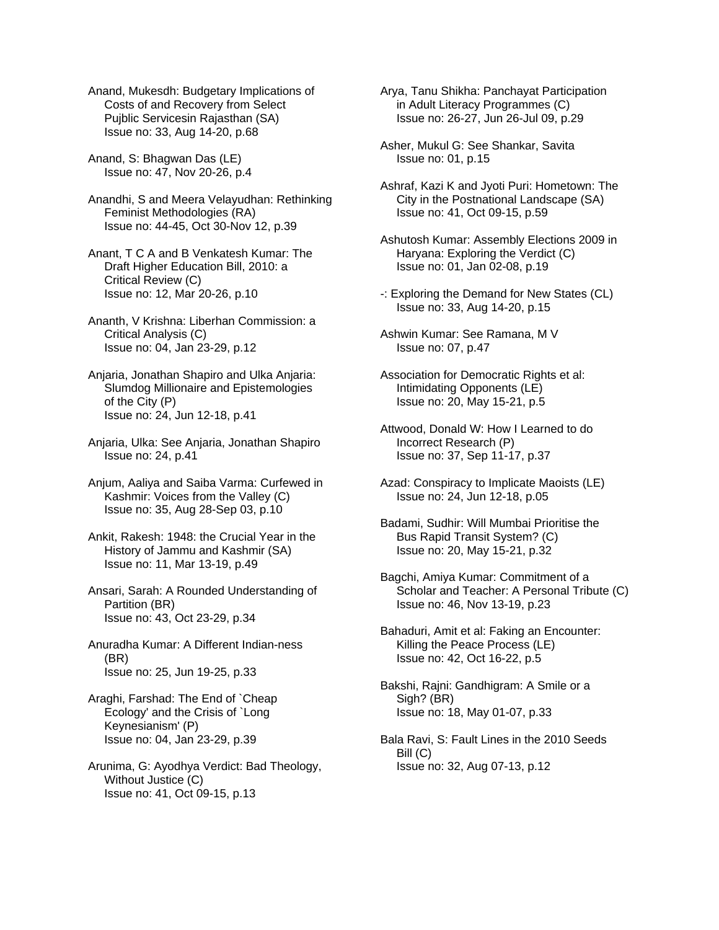Anand, Mukesdh: Budgetary Implications of Costs of and Recovery from Select Pujblic Servicesin Rajasthan (SA) Issue no: 33, Aug 14-20, p.68

Anand, S: Bhagwan Das (LE) Issue no: 47, Nov 20-26, p.4

Anandhi, S and Meera Velayudhan: Rethinking Feminist Methodologies (RA) Issue no: 44-45, Oct 30-Nov 12, p.39

Anant, T C A and B Venkatesh Kumar: The Draft Higher Education Bill, 2010: a Critical Review (C) Issue no: 12, Mar 20-26, p.10

Ananth, V Krishna: Liberhan Commission: a Critical Analysis (C) Issue no: 04, Jan 23-29, p.12

Anjaria, Jonathan Shapiro and Ulka Anjaria: Slumdog Millionaire and Epistemologies of the City (P) Issue no: 24, Jun 12-18, p.41

Anjaria, Ulka: See Anjaria, Jonathan Shapiro Issue no: 24, p.41

Anjum, Aaliya and Saiba Varma: Curfewed in Kashmir: Voices from the Valley (C) Issue no: 35, Aug 28-Sep 03, p.10

Ankit, Rakesh: 1948: the Crucial Year in the History of Jammu and Kashmir (SA) Issue no: 11, Mar 13-19, p.49

Ansari, Sarah: A Rounded Understanding of Partition (BR) Issue no: 43, Oct 23-29, p.34

Anuradha Kumar: A Different Indian-ness (BR) Issue no: 25, Jun 19-25, p.33

Araghi, Farshad: The End of `Cheap Ecology' and the Crisis of `Long Keynesianism' (P) Issue no: 04, Jan 23-29, p.39

Arunima, G: Ayodhya Verdict: Bad Theology, Without Justice (C) Issue no: 41, Oct 09-15, p.13

Arya, Tanu Shikha: Panchayat Participation in Adult Literacy Programmes (C) Issue no: 26-27, Jun 26-Jul 09, p.29

Asher, Mukul G: See Shankar, Savita Issue no: 01, p.15

Ashraf, Kazi K and Jyoti Puri: Hometown: The City in the Postnational Landscape (SA) Issue no: 41, Oct 09-15, p.59

Ashutosh Kumar: Assembly Elections 2009 in Haryana: Exploring the Verdict (C) Issue no: 01, Jan 02-08, p.19

-: Exploring the Demand for New States (CL) Issue no: 33, Aug 14-20, p.15

Ashwin Kumar: See Ramana, M V Issue no: 07, p.47

Association for Democratic Rights et al: Intimidating Opponents (LE) Issue no: 20, May 15-21, p.5

Attwood, Donald W: How I Learned to do Incorrect Research (P) Issue no: 37, Sep 11-17, p.37

- Azad: Conspiracy to Implicate Maoists (LE) Issue no: 24, Jun 12-18, p.05
- Badami, Sudhir: Will Mumbai Prioritise the Bus Rapid Transit System? (C) Issue no: 20, May 15-21, p.32
- Bagchi, Amiya Kumar: Commitment of a Scholar and Teacher: A Personal Tribute (C) Issue no: 46, Nov 13-19, p.23

Bahaduri, Amit et al: Faking an Encounter: Killing the Peace Process (LE) Issue no: 42, Oct 16-22, p.5

Bakshi, Rajni: Gandhigram: A Smile or a Sigh? (BR) Issue no: 18, May 01-07, p.33

Bala Ravi, S: Fault Lines in the 2010 Seeds Bill (C) Issue no: 32, Aug 07-13, p.12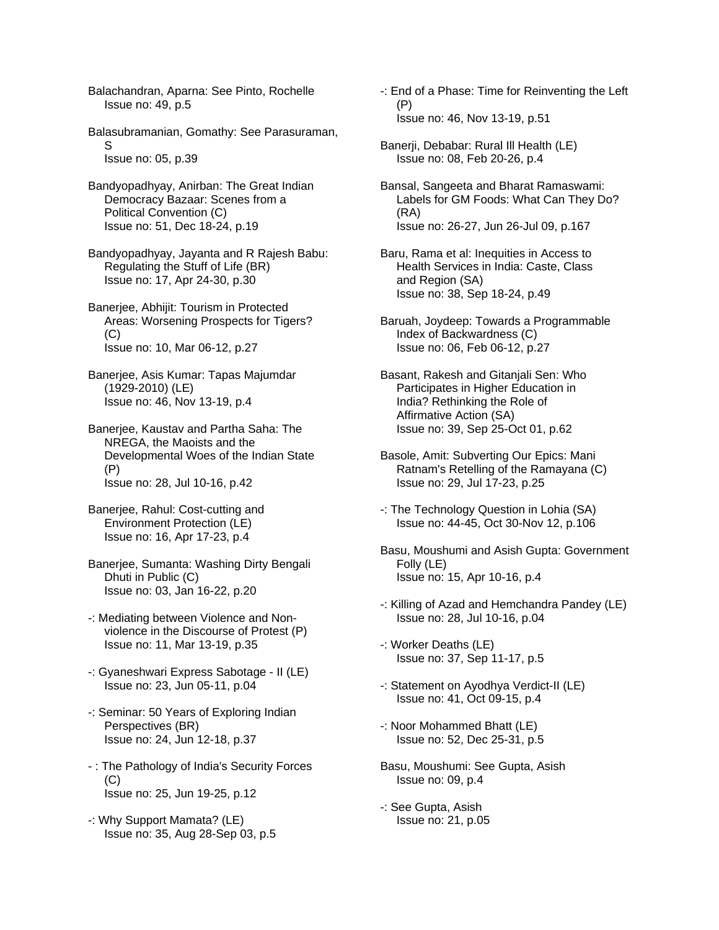Balachandran, Aparna: See Pinto, Rochelle Issue no: 49, p.5

Balasubramanian, Gomathy: See Parasuraman, S Issue no: 05, p.39

Bandyopadhyay, Anirban: The Great Indian Democracy Bazaar: Scenes from a Political Convention (C) Issue no: 51, Dec 18-24, p.19

Bandyopadhyay, Jayanta and R Rajesh Babu: Regulating the Stuff of Life (BR) Issue no: 17, Apr 24-30, p.30

Banerjee, Abhijit: Tourism in Protected Areas: Worsening Prospects for Tigers?  $(C)$ Issue no: 10, Mar 06-12, p.27

Banerjee, Asis Kumar: Tapas Majumdar (1929-2010) (LE) Issue no: 46, Nov 13-19, p.4

Banerjee, Kaustav and Partha Saha: The NREGA, the Maoists and the Developmental Woes of the Indian State (P) Issue no: 28, Jul 10-16, p.42

- Banerjee, Rahul: Cost-cutting and Environment Protection (LE) Issue no: 16, Apr 17-23, p.4
- Banerjee, Sumanta: Washing Dirty Bengali Dhuti in Public (C) Issue no: 03, Jan 16-22, p.20
- -: Mediating between Violence and Non violence in the Discourse of Protest (P) Issue no: 11, Mar 13-19, p.35
- -: Gyaneshwari Express Sabotage II (LE) Issue no: 23, Jun 05-11, p.04
- -: Seminar: 50 Years of Exploring Indian Perspectives (BR) Issue no: 24, Jun 12-18, p.37
- : The Pathology of India's Security Forces (C) Issue no: 25, Jun 19-25, p.12
- -: Why Support Mamata? (LE) Issue no: 35, Aug 28-Sep 03, p.5
- -: End of a Phase: Time for Reinventing the Left (P) Issue no: 46, Nov 13-19, p.51
- Banerji, Debabar: Rural Ill Health (LE) Issue no: 08, Feb 20-26, p.4
- Bansal, Sangeeta and Bharat Ramaswami: Labels for GM Foods: What Can They Do? (RA) Issue no: 26-27, Jun 26-Jul 09, p.167
- Baru, Rama et al: Inequities in Access to Health Services in India: Caste, Class and Region (SA) Issue no: 38, Sep 18-24, p.49
- Baruah, Joydeep: Towards a Programmable Index of Backwardness (C) Issue no: 06, Feb 06-12, p.27
- Basant, Rakesh and Gitanjali Sen: Who Participates in Higher Education in India? Rethinking the Role of Affirmative Action (SA) Issue no: 39, Sep 25-Oct 01, p.62
- Basole, Amit: Subverting Our Epics: Mani Ratnam's Retelling of the Ramayana (C) Issue no: 29, Jul 17-23, p.25
- -: The Technology Question in Lohia (SA) Issue no: 44-45, Oct 30-Nov 12, p.106
- Basu, Moushumi and Asish Gupta: Government Folly (LE) Issue no: 15, Apr 10-16, p.4
- -: Killing of Azad and Hemchandra Pandey (LE) Issue no: 28, Jul 10-16, p.04
- -: Worker Deaths (LE) Issue no: 37, Sep 11-17, p.5
- -: Statement on Ayodhya Verdict-II (LE) Issue no: 41, Oct 09-15, p.4
- -: Noor Mohammed Bhatt (LE) Issue no: 52, Dec 25-31, p.5
- Basu, Moushumi: See Gupta, Asish Issue no: 09, p.4
- -: See Gupta, Asish Issue no: 21, p.05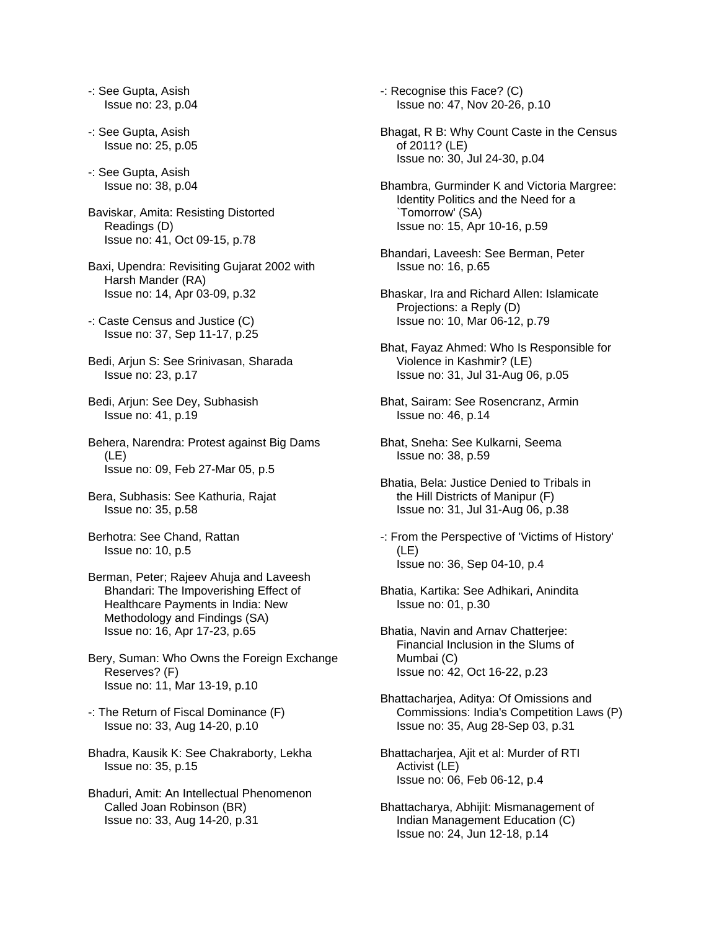-: See Gupta, Asish Issue no: 23, p.04

- -: See Gupta, Asish Issue no: 25, p.05
- -: See Gupta, Asish Issue no: 38, p.04
- Baviskar, Amita: Resisting Distorted Readings (D) Issue no: 41, Oct 09-15, p.78
- Baxi, Upendra: Revisiting Gujarat 2002 with Harsh Mander (RA) Issue no: 14, Apr 03-09, p.32
- -: Caste Census and Justice (C) Issue no: 37, Sep 11-17, p.25
- Bedi, Arjun S: See Srinivasan, Sharada Issue no: 23, p.17
- Bedi, Arjun: See Dey, Subhasish Issue no: 41, p.19
- Behera, Narendra: Protest against Big Dams (LE) Issue no: 09, Feb 27-Mar 05, p.5
- Bera, Subhasis: See Kathuria, Rajat Issue no: 35, p.58
- Berhotra: See Chand, Rattan Issue no: 10, p.5
- Berman, Peter; Rajeev Ahuja and Laveesh Bhandari: The Impoverishing Effect of Healthcare Payments in India: New Methodology and Findings (SA) Issue no: 16, Apr 17-23, p.65
- Bery, Suman: Who Owns the Foreign Exchange Reserves? (F) Issue no: 11, Mar 13-19, p.10
- -: The Return of Fiscal Dominance (F) Issue no: 33, Aug 14-20, p.10
- Bhadra, Kausik K: See Chakraborty, Lekha Issue no: 35, p.15
- Bhaduri, Amit: An Intellectual Phenomenon Called Joan Robinson (BR) Issue no: 33, Aug 14-20, p.31

-: Recognise this Face? (C) Issue no: 47, Nov 20-26, p.10

- Bhagat, R B: Why Count Caste in the Census of 2011? (LE) Issue no: 30, Jul 24-30, p.04
- Bhambra, Gurminder K and Victoria Margree: Identity Politics and the Need for a `Tomorrow' (SA) Issue no: 15, Apr 10-16, p.59
- Bhandari, Laveesh: See Berman, Peter Issue no: 16, p.65
- Bhaskar, Ira and Richard Allen: Islamicate Projections: a Reply (D) Issue no: 10, Mar 06-12, p.79
- Bhat, Fayaz Ahmed: Who Is Responsible for Violence in Kashmir? (LE) Issue no: 31, Jul 31-Aug 06, p.05
- Bhat, Sairam: See Rosencranz, Armin Issue no: 46, p.14
- Bhat, Sneha: See Kulkarni, Seema Issue no: 38, p.59
- Bhatia, Bela: Justice Denied to Tribals in the Hill Districts of Manipur (F) Issue no: 31, Jul 31-Aug 06, p.38
- -: From the Perspective of 'Victims of History' (LE) Issue no: 36, Sep 04-10, p.4
- Bhatia, Kartika: See Adhikari, Anindita Issue no: 01, p.30
- Bhatia, Navin and Arnav Chatterjee: Financial Inclusion in the Slums of Mumbai (C) Issue no: 42, Oct 16-22, p.23
- Bhattacharjea, Aditya: Of Omissions and Commissions: India's Competition Laws (P) Issue no: 35, Aug 28-Sep 03, p.31
- Bhattacharjea, Ajit et al: Murder of RTI Activist (LE) Issue no: 06, Feb 06-12, p.4
- Bhattacharya, Abhijit: Mismanagement of Indian Management Education (C) Issue no: 24, Jun 12-18, p.14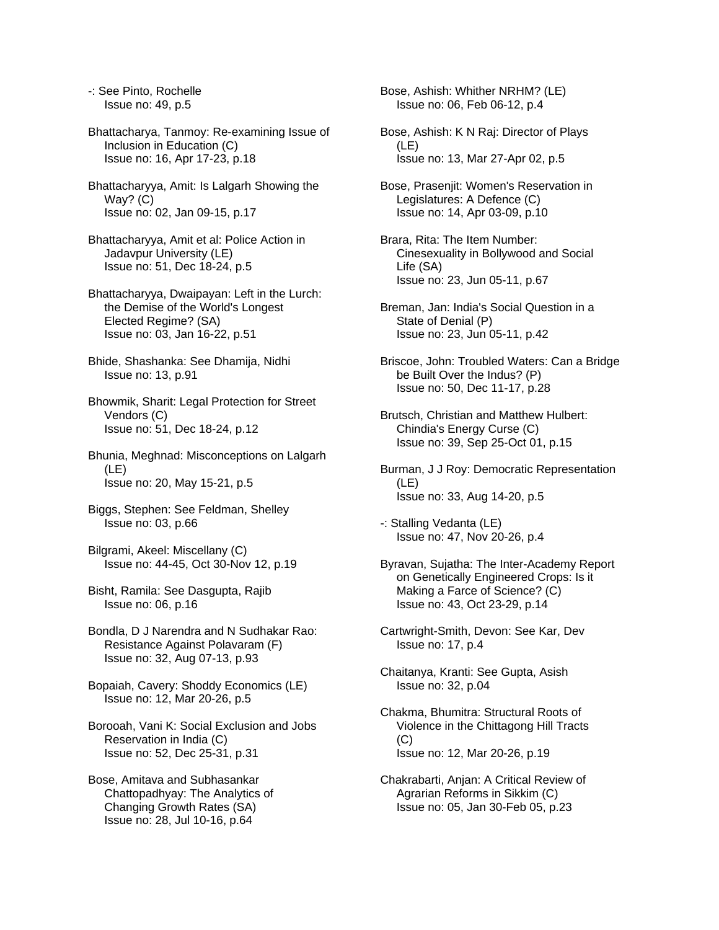-: See Pinto, Rochelle Issue no: 49, p.5

Bhattacharya, Tanmoy: Re-examining Issue of Inclusion in Education (C) Issue no: 16, Apr 17-23, p.18

Bhattacharyya, Amit: Is Lalgarh Showing the Way? (C) Issue no: 02, Jan 09-15, p.17

Bhattacharyya, Amit et al: Police Action in Jadavpur University (LE) Issue no: 51, Dec 18-24, p.5

Bhattacharyya, Dwaipayan: Left in the Lurch: the Demise of the World's Longest Elected Regime? (SA) Issue no: 03, Jan 16-22, p.51

Bhide, Shashanka: See Dhamija, Nidhi Issue no: 13, p.91

Bhowmik, Sharit: Legal Protection for Street Vendors (C) Issue no: 51, Dec 18-24, p.12

Bhunia, Meghnad: Misconceptions on Lalgarh (LE) Issue no: 20, May 15-21, p.5

Biggs, Stephen: See Feldman, Shelley Issue no: 03, p.66

Bilgrami, Akeel: Miscellany (C) Issue no: 44-45, Oct 30-Nov 12, p.19

Bisht, Ramila: See Dasgupta, Rajib Issue no: 06, p.16

Bondla, D J Narendra and N Sudhakar Rao: Resistance Against Polavaram (F) Issue no: 32, Aug 07-13, p.93

Bopaiah, Cavery: Shoddy Economics (LE) Issue no: 12, Mar 20-26, p.5

Borooah, Vani K: Social Exclusion and Jobs Reservation in India (C) Issue no: 52, Dec 25-31, p.31

Bose, Amitava and Subhasankar Chattopadhyay: The Analytics of Changing Growth Rates (SA) Issue no: 28, Jul 10-16, p.64

Bose, Ashish: Whither NRHM? (LE) Issue no: 06, Feb 06-12, p.4

Bose, Ashish: K N Raj: Director of Plays (LE) Issue no: 13, Mar 27-Apr 02, p.5

Bose, Prasenjit: Women's Reservation in Legislatures: A Defence (C) Issue no: 14, Apr 03-09, p.10

Brara, Rita: The Item Number: Cinesexuality in Bollywood and Social Life (SA) Issue no: 23, Jun 05-11, p.67

Breman, Jan: India's Social Question in a State of Denial (P) Issue no: 23, Jun 05-11, p.42

Briscoe, John: Troubled Waters: Can a Bridge be Built Over the Indus? (P) Issue no: 50, Dec 11-17, p.28

Brutsch, Christian and Matthew Hulbert: Chindia's Energy Curse (C) Issue no: 39, Sep 25-Oct 01, p.15

Burman, J J Roy: Democratic Representation (LE) Issue no: 33, Aug 14-20, p.5

-: Stalling Vedanta (LE) Issue no: 47, Nov 20-26, p.4

Byravan, Sujatha: The Inter-Academy Report on Genetically Engineered Crops: Is it Making a Farce of Science? (C) Issue no: 43, Oct 23-29, p.14

Cartwright-Smith, Devon: See Kar, Dev Issue no: 17, p.4

Chaitanya, Kranti: See Gupta, Asish Issue no: 32, p.04

Chakma, Bhumitra: Structural Roots of Violence in the Chittagong Hill Tracts  $(C)$ Issue no: 12, Mar 20-26, p.19

Chakrabarti, Anjan: A Critical Review of Agrarian Reforms in Sikkim (C) Issue no: 05, Jan 30-Feb 05, p.23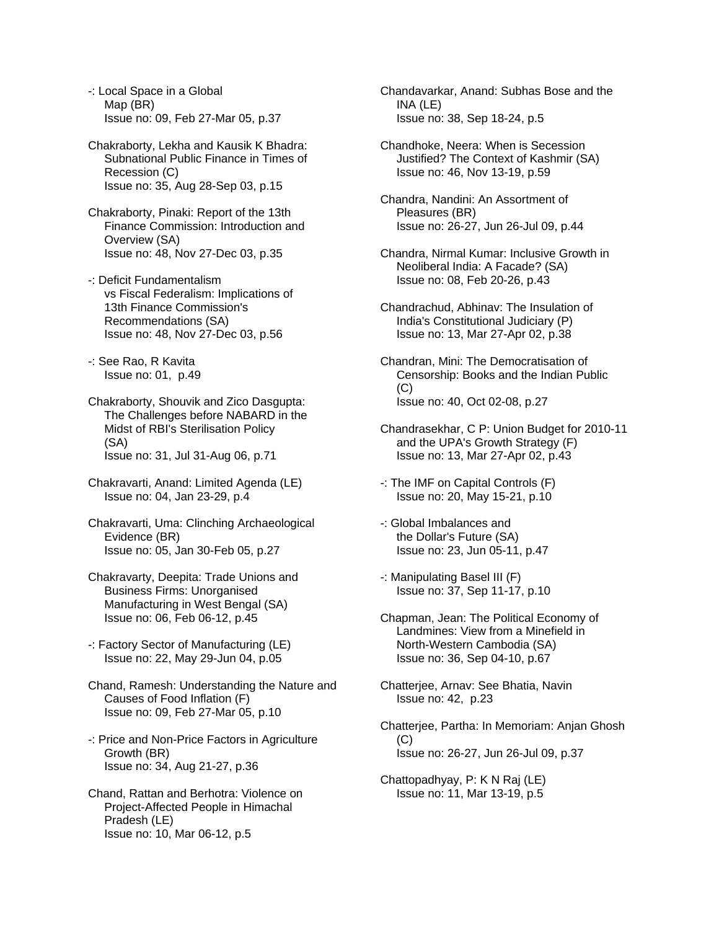-: Local Space in a Global Map (BR) Issue no: 09, Feb 27-Mar 05, p.37

Chakraborty, Lekha and Kausik K Bhadra: Subnational Public Finance in Times of Recession (C) Issue no: 35, Aug 28-Sep 03, p.15

Chakraborty, Pinaki: Report of the 13th Finance Commission: Introduction and Overview (SA) Issue no: 48, Nov 27-Dec 03, p.35

-: Deficit Fundamentalism vs Fiscal Federalism: Implications of 13th Finance Commission's Recommendations (SA) Issue no: 48, Nov 27-Dec 03, p.56

-: See Rao, R Kavita Issue no: 01, p.49

Chakraborty, Shouvik and Zico Dasgupta: The Challenges before NABARD in the Midst of RBI's Sterilisation Policy (SA) Issue no: 31, Jul 31-Aug 06, p.71

Chakravarti, Anand: Limited Agenda (LE) Issue no: 04, Jan 23-29, p.4

Chakravarti, Uma: Clinching Archaeological Evidence (BR) Issue no: 05, Jan 30-Feb 05, p.27

Chakravarty, Deepita: Trade Unions and Business Firms: Unorganised Manufacturing in West Bengal (SA) Issue no: 06, Feb 06-12, p.45

-: Factory Sector of Manufacturing (LE) Issue no: 22, May 29-Jun 04, p.05

Chand, Ramesh: Understanding the Nature and Causes of Food Inflation (F) Issue no: 09, Feb 27-Mar 05, p.10

-: Price and Non-Price Factors in Agriculture Growth (BR) Issue no: 34, Aug 21-27, p.36

Chand, Rattan and Berhotra: Violence on Project-Affected People in Himachal Pradesh (LE) Issue no: 10, Mar 06-12, p.5

Chandavarkar, Anand: Subhas Bose and the INA (LE) Issue no: 38, Sep 18-24, p.5

Chandhoke, Neera: When is Secession Justified? The Context of Kashmir (SA) Issue no: 46, Nov 13-19, p.59

Chandra, Nandini: An Assortment of Pleasures (BR) Issue no: 26-27, Jun 26-Jul 09, p.44

Chandra, Nirmal Kumar: Inclusive Growth in Neoliberal India: A Facade? (SA) Issue no: 08, Feb 20-26, p.43

Chandrachud, Abhinav: The Insulation of India's Constitutional Judiciary (P) Issue no: 13, Mar 27-Apr 02, p.38

Chandran, Mini: The Democratisation of Censorship: Books and the Indian Public (C) Issue no: 40, Oct 02-08, p.27

Chandrasekhar, C P: Union Budget for 2010-11 and the UPA's Growth Strategy (F) Issue no: 13, Mar 27-Apr 02, p.43

-: The IMF on Capital Controls (F) Issue no: 20, May 15-21, p.10

-: Global Imbalances and the Dollar's Future (SA) Issue no: 23, Jun 05-11, p.47

-: Manipulating Basel III (F) Issue no: 37, Sep 11-17, p.10

Chapman, Jean: The Political Economy of Landmines: View from a Minefield in North-Western Cambodia (SA) Issue no: 36, Sep 04-10, p.67

Chatterjee, Arnav: See Bhatia, Navin Issue no: 42, p.23

Chatterjee, Partha: In Memoriam: Anjan Ghosh  $(C)$ Issue no: 26-27, Jun 26-Jul 09, p.37

Chattopadhyay, P: K N Raj (LE) Issue no: 11, Mar 13-19, p.5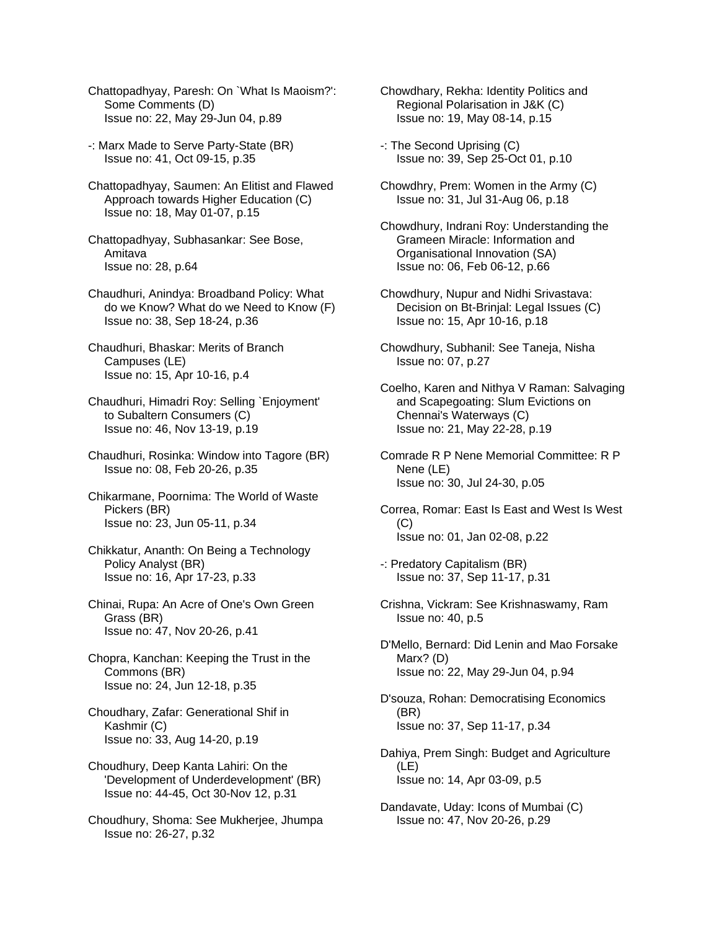- Chattopadhyay, Paresh: On `What Is Maoism?': Some Comments (D) Issue no: 22, May 29-Jun 04, p.89
- -: Marx Made to Serve Party-State (BR) Issue no: 41, Oct 09-15, p.35
- Chattopadhyay, Saumen: An Elitist and Flawed Approach towards Higher Education (C) Issue no: 18, May 01-07, p.15
- Chattopadhyay, Subhasankar: See Bose, Amitava Issue no: 28, p.64
- Chaudhuri, Anindya: Broadband Policy: What do we Know? What do we Need to Know (F) Issue no: 38, Sep 18-24, p.36
- Chaudhuri, Bhaskar: Merits of Branch Campuses (LE) Issue no: 15, Apr 10-16, p.4
- Chaudhuri, Himadri Roy: Selling `Enjoyment' to Subaltern Consumers (C) Issue no: 46, Nov 13-19, p.19
- Chaudhuri, Rosinka: Window into Tagore (BR) Issue no: 08, Feb 20-26, p.35
- Chikarmane, Poornima: The World of Waste Pickers (BR) Issue no: 23, Jun 05-11, p.34
- Chikkatur, Ananth: On Being a Technology Policy Analyst (BR) Issue no: 16, Apr 17-23, p.33
- Chinai, Rupa: An Acre of One's Own Green Grass (BR) Issue no: 47, Nov 20-26, p.41
- Chopra, Kanchan: Keeping the Trust in the Commons (BR) Issue no: 24, Jun 12-18, p.35
- Choudhary, Zafar: Generational Shif in Kashmir (C) Issue no: 33, Aug 14-20, p.19
- Choudhury, Deep Kanta Lahiri: On the 'Development of Underdevelopment' (BR) Issue no: 44-45, Oct 30-Nov 12, p.31
- Choudhury, Shoma: See Mukherjee, Jhumpa Issue no: 26-27, p.32
- Chowdhary, Rekha: Identity Politics and Regional Polarisation in J&K (C) Issue no: 19, May 08-14, p.15
- -: The Second Uprising (C) Issue no: 39, Sep 25-Oct 01, p.10
- Chowdhry, Prem: Women in the Army (C) Issue no: 31, Jul 31-Aug 06, p.18
- Chowdhury, Indrani Roy: Understanding the Grameen Miracle: Information and Organisational Innovation (SA) Issue no: 06, Feb 06-12, p.66
- Chowdhury, Nupur and Nidhi Srivastava: Decision on Bt-Brinjal: Legal Issues (C) Issue no: 15, Apr 10-16, p.18
- Chowdhury, Subhanil: See Taneja, Nisha Issue no: 07, p.27
- Coelho, Karen and Nithya V Raman: Salvaging and Scapegoating: Slum Evictions on Chennai's Waterways (C) Issue no: 21, May 22-28, p.19
- Comrade R P Nene Memorial Committee: R P Nene (LE) Issue no: 30, Jul 24-30, p.05
- Correa, Romar: East Is East and West Is West  $(C)$ Issue no: 01, Jan 02-08, p.22
- -: Predatory Capitalism (BR) Issue no: 37, Sep 11-17, p.31
- Crishna, Vickram: See Krishnaswamy, Ram Issue no: 40, p.5
- D'Mello, Bernard: Did Lenin and Mao Forsake Marx? (D) Issue no: 22, May 29-Jun 04, p.94
- D'souza, Rohan: Democratising Economics (BR) Issue no: 37, Sep 11-17, p.34
- Dahiya, Prem Singh: Budget and Agriculture (LE) Issue no: 14, Apr 03-09, p.5
- Dandavate, Uday: Icons of Mumbai (C) Issue no: 47, Nov 20-26, p.29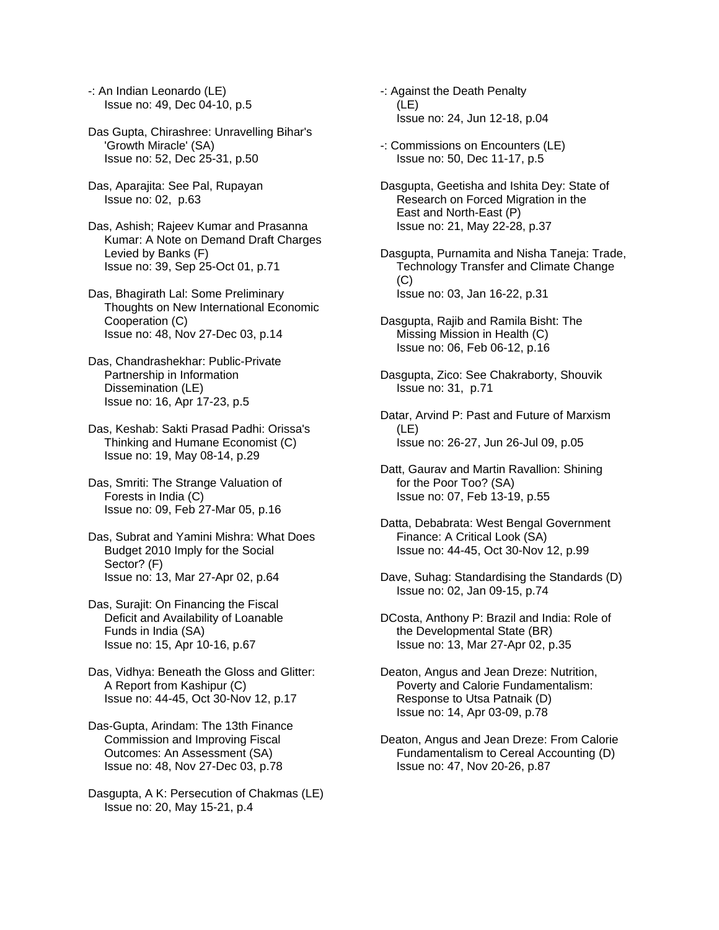-: An Indian Leonardo (LE) Issue no: 49, Dec 04-10, p.5

- Das Gupta, Chirashree: Unravelling Bihar's 'Growth Miracle' (SA) Issue no: 52, Dec 25-31, p.50
- Das, Aparajita: See Pal, Rupayan Issue no: 02, p.63
- Das, Ashish; Rajeev Kumar and Prasanna Kumar: A Note on Demand Draft Charges Levied by Banks (F) Issue no: 39, Sep 25-Oct 01, p.71

Das, Bhagirath Lal: Some Preliminary Thoughts on New International Economic Cooperation (C) Issue no: 48, Nov 27-Dec 03, p.14

- Das, Chandrashekhar: Public-Private Partnership in Information Dissemination (LE) Issue no: 16, Apr 17-23, p.5
- Das, Keshab: Sakti Prasad Padhi: Orissa's Thinking and Humane Economist (C) Issue no: 19, May 08-14, p.29
- Das, Smriti: The Strange Valuation of Forests in India (C) Issue no: 09, Feb 27-Mar 05, p.16
- Das, Subrat and Yamini Mishra: What Does Budget 2010 Imply for the Social Sector? (F) Issue no: 13, Mar 27-Apr 02, p.64
- Das, Surajit: On Financing the Fiscal Deficit and Availability of Loanable Funds in India (SA) Issue no: 15, Apr 10-16, p.67
- Das, Vidhya: Beneath the Gloss and Glitter: A Report from Kashipur (C) Issue no: 44-45, Oct 30-Nov 12, p.17
- Das-Gupta, Arindam: The 13th Finance Commission and Improving Fiscal Outcomes: An Assessment (SA) Issue no: 48, Nov 27-Dec 03, p.78
- Dasgupta, A K: Persecution of Chakmas (LE) Issue no: 20, May 15-21, p.4
- -: Against the Death Penalty (LE) Issue no: 24, Jun 12-18, p.04
- -: Commissions on Encounters (LE) Issue no: 50, Dec 11-17, p.5
- Dasgupta, Geetisha and Ishita Dey: State of Research on Forced Migration in the East and North-East (P) Issue no: 21, May 22-28, p.37
- Dasgupta, Purnamita and Nisha Taneja: Trade, Technology Transfer and Climate Change (C) Issue no: 03, Jan 16-22, p.31
- Dasgupta, Rajib and Ramila Bisht: The Missing Mission in Health (C) Issue no: 06, Feb 06-12, p.16
- Dasgupta, Zico: See Chakraborty, Shouvik Issue no: 31, p.71
- Datar, Arvind P: Past and Future of Marxism (LE) Issue no: 26-27, Jun 26-Jul 09, p.05
- Datt, Gaurav and Martin Ravallion: Shining for the Poor Too? (SA) Issue no: 07, Feb 13-19, p.55
- Datta, Debabrata: West Bengal Government Finance: A Critical Look (SA) Issue no: 44-45, Oct 30-Nov 12, p.99
- Dave, Suhag: Standardising the Standards (D) Issue no: 02, Jan 09-15, p.74
- DCosta, Anthony P: Brazil and India: Role of the Developmental State (BR) Issue no: 13, Mar 27-Apr 02, p.35
- Deaton, Angus and Jean Dreze: Nutrition, Poverty and Calorie Fundamentalism: Response to Utsa Patnaik (D) Issue no: 14, Apr 03-09, p.78
- Deaton, Angus and Jean Dreze: From Calorie Fundamentalism to Cereal Accounting (D) Issue no: 47, Nov 20-26, p.87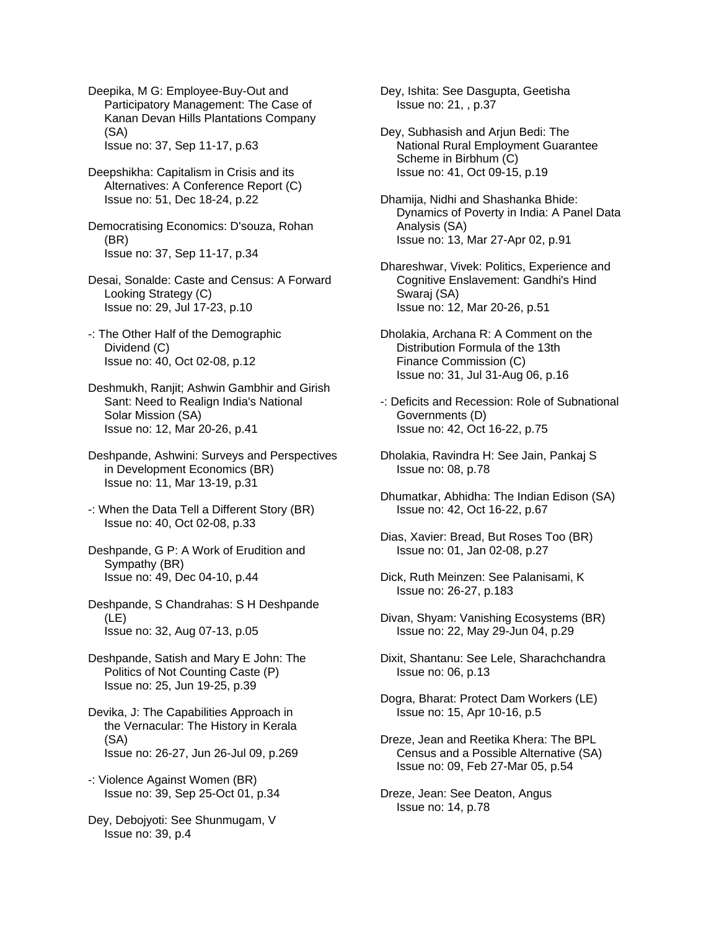Deepika, M G: Employee-Buy-Out and Participatory Management: The Case of Kanan Devan Hills Plantations Company (SA)

Issue no: 37, Sep 11-17, p.63

Deepshikha: Capitalism in Crisis and its Alternatives: A Conference Report (C) Issue no: 51, Dec 18-24, p.22

Democratising Economics: D'souza, Rohan (BR) Issue no: 37, Sep 11-17, p.34

Desai, Sonalde: Caste and Census: A Forward Looking Strategy (C) Issue no: 29, Jul 17-23, p.10

- -: The Other Half of the Demographic Dividend (C) Issue no: 40, Oct 02-08, p.12
- Deshmukh, Ranjit; Ashwin Gambhir and Girish Sant: Need to Realign India's National Solar Mission (SA) Issue no: 12, Mar 20-26, p.41
- Deshpande, Ashwini: Surveys and Perspectives in Development Economics (BR) Issue no: 11, Mar 13-19, p.31
- -: When the Data Tell a Different Story (BR) Issue no: 40, Oct 02-08, p.33
- Deshpande, G P: A Work of Erudition and Sympathy (BR) Issue no: 49, Dec 04-10, p.44
- Deshpande, S Chandrahas: S H Deshpande (LE) Issue no: 32, Aug 07-13, p.05
- Deshpande, Satish and Mary E John: The Politics of Not Counting Caste (P) Issue no: 25, Jun 19-25, p.39
- Devika, J: The Capabilities Approach in the Vernacular: The History in Kerala (SA) Issue no: 26-27, Jun 26-Jul 09, p.269
- -: Violence Against Women (BR) Issue no: 39, Sep 25-Oct 01, p.34
- Dey, Debojyoti: See Shunmugam, V Issue no: 39, p.4

Dey, Ishita: See Dasgupta, Geetisha Issue no: 21, , p.37

- Dey, Subhasish and Arjun Bedi: The National Rural Employment Guarantee Scheme in Birbhum (C) Issue no: 41, Oct 09-15, p.19
- Dhamija, Nidhi and Shashanka Bhide: Dynamics of Poverty in India: A Panel Data Analysis (SA) Issue no: 13, Mar 27-Apr 02, p.91
- Dhareshwar, Vivek: Politics, Experience and Cognitive Enslavement: Gandhi's Hind Swaraj (SA) Issue no: 12, Mar 20-26, p.51
- Dholakia, Archana R: A Comment on the Distribution Formula of the 13th Finance Commission (C) Issue no: 31, Jul 31-Aug 06, p.16
- -: Deficits and Recession: Role of Subnational Governments (D) Issue no: 42, Oct 16-22, p.75
- Dholakia, Ravindra H: See Jain, Pankaj S Issue no: 08, p.78
- Dhumatkar, Abhidha: The Indian Edison (SA) Issue no: 42, Oct 16-22, p.67
- Dias, Xavier: Bread, But Roses Too (BR) Issue no: 01, Jan 02-08, p.27
- Dick, Ruth Meinzen: See Palanisami, K Issue no: 26-27, p.183
- Divan, Shyam: Vanishing Ecosystems (BR) Issue no: 22, May 29-Jun 04, p.29
- Dixit, Shantanu: See Lele, Sharachchandra Issue no: 06, p.13
- Dogra, Bharat: Protect Dam Workers (LE) Issue no: 15, Apr 10-16, p.5
- Dreze, Jean and Reetika Khera: The BPL Census and a Possible Alternative (SA) Issue no: 09, Feb 27-Mar 05, p.54
- Dreze, Jean: See Deaton, Angus Issue no: 14, p.78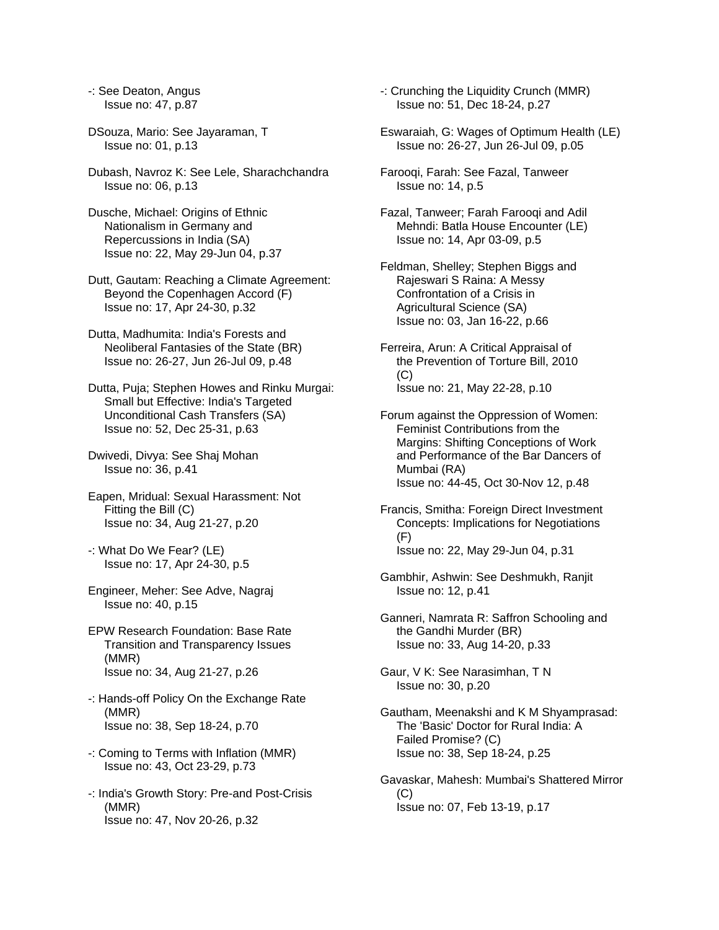-: See Deaton, Angus Issue no: 47, p.87

- DSouza, Mario: See Jayaraman, T Issue no: 01, p.13
- Dubash, Navroz K: See Lele, Sharachchandra Issue no: 06, p.13
- Dusche, Michael: Origins of Ethnic Nationalism in Germany and Repercussions in India (SA) Issue no: 22, May 29-Jun 04, p.37
- Dutt, Gautam: Reaching a Climate Agreement: Beyond the Copenhagen Accord (F) Issue no: 17, Apr 24-30, p.32
- Dutta, Madhumita: India's Forests and Neoliberal Fantasies of the State (BR) Issue no: 26-27, Jun 26-Jul 09, p.48
- Dutta, Puja; Stephen Howes and Rinku Murgai: Small but Effective: India's Targeted Unconditional Cash Transfers (SA) Issue no: 52, Dec 25-31, p.63
- Dwivedi, Divya: See Shaj Mohan Issue no: 36, p.41
- Eapen, Mridual: Sexual Harassment: Not Fitting the Bill (C) Issue no: 34, Aug 21-27, p.20
- -: What Do We Fear? (LE) Issue no: 17, Apr 24-30, p.5
- Engineer, Meher: See Adve, Nagraj Issue no: 40, p.15
- EPW Research Foundation: Base Rate Transition and Transparency Issues (MMR) Issue no: 34, Aug 21-27, p.26
- -: Hands-off Policy On the Exchange Rate (MMR) Issue no: 38, Sep 18-24, p.70
- -: Coming to Terms with Inflation (MMR) Issue no: 43, Oct 23-29, p.73
- -: India's Growth Story: Pre-and Post-Crisis (MMR) Issue no: 47, Nov 20-26, p.32
- -: Crunching the Liquidity Crunch (MMR) Issue no: 51, Dec 18-24, p.27
- Eswaraiah, G: Wages of Optimum Health (LE) Issue no: 26-27, Jun 26-Jul 09, p.05
- Farooqi, Farah: See Fazal, Tanweer Issue no: 14, p.5
- Fazal, Tanweer; Farah Farooqi and Adil Mehndi: Batla House Encounter (LE) Issue no: 14, Apr 03-09, p.5
- Feldman, Shelley; Stephen Biggs and Rajeswari S Raina: A Messy Confrontation of a Crisis in Agricultural Science (SA) Issue no: 03, Jan 16-22, p.66
- Ferreira, Arun: A Critical Appraisal of the Prevention of Torture Bill, 2010  $(C)$ Issue no: 21, May 22-28, p.10
- Forum against the Oppression of Women: Feminist Contributions from the Margins: Shifting Conceptions of Work and Performance of the Bar Dancers of Mumbai (RA) Issue no: 44-45, Oct 30-Nov 12, p.48
- Francis, Smitha: Foreign Direct Investment Concepts: Implications for Negotiations (F) Issue no: 22, May 29-Jun 04, p.31
- Gambhir, Ashwin: See Deshmukh, Ranjit Issue no: 12, p.41
- Ganneri, Namrata R: Saffron Schooling and the Gandhi Murder (BR) Issue no: 33, Aug 14-20, p.33
- Gaur, V K: See Narasimhan, T N Issue no: 30, p.20
- Gautham, Meenakshi and K M Shyamprasad: The 'Basic' Doctor for Rural India: A Failed Promise? (C) Issue no: 38, Sep 18-24, p.25
- Gavaskar, Mahesh: Mumbai's Shattered Mirror (C) Issue no: 07, Feb 13-19, p.17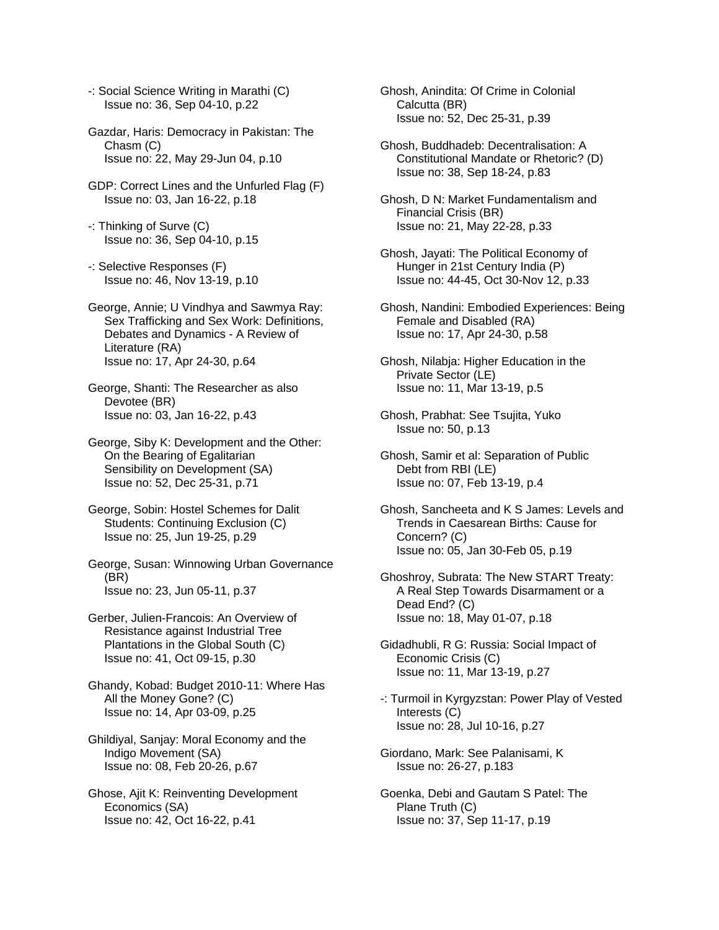- -: Social Science Writing in Marathi (C) Issue no: 36, Sep 04-10, p.22
- Gazdar, Haris: Democracy in Pakistan: The Chasm (C) Issue no: 22, May 29-Jun 04, p.10
- GDP: Correct Lines and the Unfurled Flag (F) Issue no: 03, Jan 16-22, p.18
- -: Thinking of Surve (C) Issue no: 36, Sep 04-10, p.15
- -: Selective Responses (F) Issue no: 46, Nov 13-19, p.10
- George, Annie; U Vindhya and Sawmya Ray: Sex Trafficking and Sex Work: Definitions, Debates and Dynamics - A Review of Literature (RA) Issue no: 17, Apr 24-30, p.64
- George, Shanti: The Researcher as also Devotee (BR) Issue no: 03, Jan 16-22, p.43
- George, Siby K: Development and the Other: On the Bearing of Egalitarian Sensibility on Development (SA) Issue no: 52, Dec 25-31, p.71
- George, Sobin: Hostel Schemes for Dalit Students: Continuing Exclusion (C) Issue no: 25, Jun 19-25, p.29
- George, Susan: Winnowing Urban Governance (BR) Issue no: 23, Jun 05-11, p.37
- Gerber, Julien-Francois: An Overview of Resistance against Industrial Tree Plantations in the Global South (C) Issue no: 41, Oct 09-15, p.30
- Ghandy, Kobad: Budget 2010-11: Where Has All the Money Gone? (C) Issue no: 14, Apr 03-09, p.25
- Ghildiyal, Sanjay: Moral Economy and the Indigo Movement (SA) Issue no: 08, Feb 20-26, p.67
- Ghose, Ajit K: Reinventing Development Economics (SA) Issue no: 42, Oct 16-22, p.41
- Ghosh, Anindita: Of Crime in Colonial Calcutta (BR) Issue no: 52, Dec 25-31, p.39
- Ghosh, Buddhadeb: Decentralisation: A Constitutional Mandate or Rhetoric? (D) Issue no: 38, Sep 18-24, p.83
- Ghosh, D N: Market Fundamentalism and Financial Crisis (BR) Issue no: 21, May 22-28, p.33
- Ghosh, Jayati: The Political Economy of Hunger in 21st Century India (P) Issue no: 44-45, Oct 30-Nov 12, p.33
- Ghosh, Nandini: Embodied Experiences: Being Female and Disabled (RA) Issue no: 17, Apr 24-30, p.58
- Ghosh, Nilabja: Higher Education in the Private Sector (LE) Issue no: 11, Mar 13-19, p.5
- Ghosh, Prabhat: See Tsujita, Yuko Issue no: 50, p.13
- Ghosh, Samir et al: Separation of Public Debt from RBI (LE) Issue no: 07, Feb 13-19, p.4
- Ghosh, Sancheeta and K S James: Levels and Trends in Caesarean Births: Cause for Concern? (C) Issue no: 05, Jan 30-Feb 05, p.19
- Ghoshroy, Subrata: The New START Treaty: A Real Step Towards Disarmament or a Dead End? (C) Issue no: 18, May 01-07, p.18
- Gidadhubli, R G: Russia: Social Impact of Economic Crisis (C) Issue no: 11, Mar 13-19, p.27
- -: Turmoil in Kyrgyzstan: Power Play of Vested Interests (C) Issue no: 28, Jul 10-16, p.27
- Giordano, Mark: See Palanisami, K Issue no: 26-27, p.183
- Goenka, Debi and Gautam S Patel: The Plane Truth (C) Issue no: 37, Sep 11-17, p.19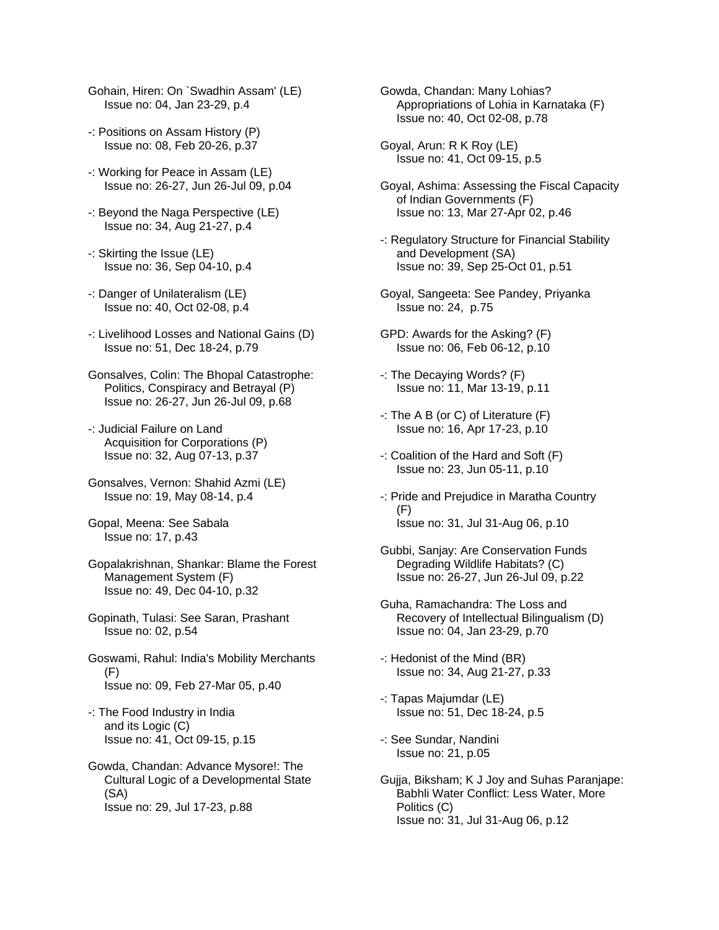Gohain, Hiren: On `Swadhin Assam' (LE) Issue no: 04, Jan 23-29, p.4

- -: Positions on Assam History (P) Issue no: 08, Feb 20-26, p.37
- -: Working for Peace in Assam (LE) Issue no: 26-27, Jun 26-Jul 09, p.04
- -: Beyond the Naga Perspective (LE) Issue no: 34, Aug 21-27, p.4
- -: Skirting the Issue (LE) Issue no: 36, Sep 04-10, p.4
- -: Danger of Unilateralism (LE) Issue no: 40, Oct 02-08, p.4
- -: Livelihood Losses and National Gains (D) Issue no: 51, Dec 18-24, p.79
- Gonsalves, Colin: The Bhopal Catastrophe: Politics, Conspiracy and Betrayal (P) Issue no: 26-27, Jun 26-Jul 09, p.68
- -: Judicial Failure on Land Acquisition for Corporations (P) Issue no: 32, Aug 07-13, p.37
- Gonsalves, Vernon: Shahid Azmi (LE) Issue no: 19, May 08-14, p.4
- Gopal, Meena: See Sabala Issue no: 17, p.43
- Gopalakrishnan, Shankar: Blame the Forest Management System (F) Issue no: 49, Dec 04-10, p.32
- Gopinath, Tulasi: See Saran, Prashant Issue no: 02, p.54
- Goswami, Rahul: India's Mobility Merchants (F) Issue no: 09, Feb 27-Mar 05, p.40
- -: The Food Industry in India and its Logic (C) Issue no: 41, Oct 09-15, p.15
- Gowda, Chandan: Advance Mysore!: The Cultural Logic of a Developmental State (SA) Issue no: 29, Jul 17-23, p.88
- Gowda, Chandan: Many Lohias? Appropriations of Lohia in Karnataka (F) Issue no: 40, Oct 02-08, p.78
- Goyal, Arun: R K Roy (LE) Issue no: 41, Oct 09-15, p.5
- Goyal, Ashima: Assessing the Fiscal Capacity of Indian Governments (F) Issue no: 13, Mar 27-Apr 02, p.46
- -: Regulatory Structure for Financial Stability and Development (SA) Issue no: 39, Sep 25-Oct 01, p.51
- Goyal, Sangeeta: See Pandey, Priyanka Issue no: 24, p.75
- GPD: Awards for the Asking? (F) Issue no: 06, Feb 06-12, p.10
- -: The Decaying Words? (F) Issue no: 11, Mar 13-19, p.11
- -: The A B (or C) of Literature (F) Issue no: 16, Apr 17-23, p.10
- -: Coalition of the Hard and Soft (F) Issue no: 23, Jun 05-11, p.10
- -: Pride and Prejudice in Maratha Country (F) Issue no: 31, Jul 31-Aug 06, p.10
- Gubbi, Sanjay: Are Conservation Funds Degrading Wildlife Habitats? (C) Issue no: 26-27, Jun 26-Jul 09, p.22
- Guha, Ramachandra: The Loss and Recovery of Intellectual Bilingualism (D) Issue no: 04, Jan 23-29, p.70
- -: Hedonist of the Mind (BR) Issue no: 34, Aug 21-27, p.33
- -: Tapas Majumdar (LE) Issue no: 51, Dec 18-24, p.5
- -: See Sundar, Nandini Issue no: 21, p.05
- Gujja, Biksham; K J Joy and Suhas Paranjape: Babhli Water Conflict: Less Water, More Politics (C) Issue no: 31, Jul 31-Aug 06, p.12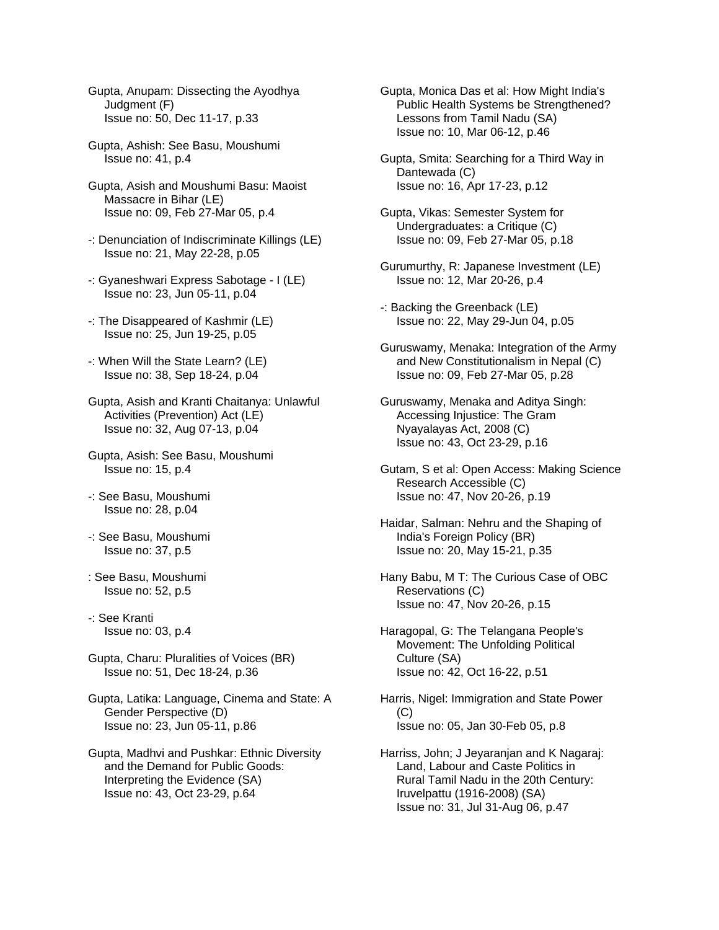- Gupta, Anupam: Dissecting the Ayodhya Judgment (F) Issue no: 50, Dec 11-17, p.33
- Gupta, Ashish: See Basu, Moushumi Issue no: 41, p.4
- Gupta, Asish and Moushumi Basu: Maoist Massacre in Bihar (LE) Issue no: 09, Feb 27-Mar 05, p.4
- -: Denunciation of Indiscriminate Killings (LE) Issue no: 21, May 22-28, p.05
- -: Gyaneshwari Express Sabotage I (LE) Issue no: 23, Jun 05-11, p.04
- -: The Disappeared of Kashmir (LE) Issue no: 25, Jun 19-25, p.05
- -: When Will the State Learn? (LE) Issue no: 38, Sep 18-24, p.04
- Gupta, Asish and Kranti Chaitanya: Unlawful Activities (Prevention) Act (LE) Issue no: 32, Aug 07-13, p.04
- Gupta, Asish: See Basu, Moushumi Issue no: 15, p.4
- -: See Basu, Moushumi Issue no: 28, p.04
- -: See Basu, Moushumi Issue no: 37, p.5
- : See Basu, Moushumi Issue no: 52, p.5
- -: See Kranti Issue no: 03, p.4
- Gupta, Charu: Pluralities of Voices (BR) Issue no: 51, Dec 18-24, p.36
- Gupta, Latika: Language, Cinema and State: A Gender Perspective (D) Issue no: 23, Jun 05-11, p.86
- Gupta, Madhvi and Pushkar: Ethnic Diversity and the Demand for Public Goods: Interpreting the Evidence (SA) Issue no: 43, Oct 23-29, p.64
- Gupta, Monica Das et al: How Might India's Public Health Systems be Strengthened? Lessons from Tamil Nadu (SA) Issue no: 10, Mar 06-12, p.46
- Gupta, Smita: Searching for a Third Way in Dantewada (C) Issue no: 16, Apr 17-23, p.12
- Gupta, Vikas: Semester System for Undergraduates: a Critique (C) Issue no: 09, Feb 27-Mar 05, p.18
- Gurumurthy, R: Japanese Investment (LE) Issue no: 12, Mar 20-26, p.4
- -: Backing the Greenback (LE) Issue no: 22, May 29-Jun 04, p.05
- Guruswamy, Menaka: Integration of the Army and New Constitutionalism in Nepal (C) Issue no: 09, Feb 27-Mar 05, p.28
- Guruswamy, Menaka and Aditya Singh: Accessing Injustice: The Gram Nyayalayas Act, 2008 (C) Issue no: 43, Oct 23-29, p.16
- Gutam, S et al: Open Access: Making Science Research Accessible (C) Issue no: 47, Nov 20-26, p.19
- Haidar, Salman: Nehru and the Shaping of India's Foreign Policy (BR) Issue no: 20, May 15-21, p.35
- Hany Babu, M T: The Curious Case of OBC Reservations (C) Issue no: 47, Nov 20-26, p.15
- Haragopal, G: The Telangana People's Movement: The Unfolding Political Culture (SA) Issue no: 42, Oct 16-22, p.51
- Harris, Nigel: Immigration and State Power (C) Issue no: 05, Jan 30-Feb 05, p.8
- Harriss, John; J Jeyaranjan and K Nagaraj: Land, Labour and Caste Politics in Rural Tamil Nadu in the 20th Century: Iruvelpattu (1916-2008) (SA) Issue no: 31, Jul 31-Aug 06, p.47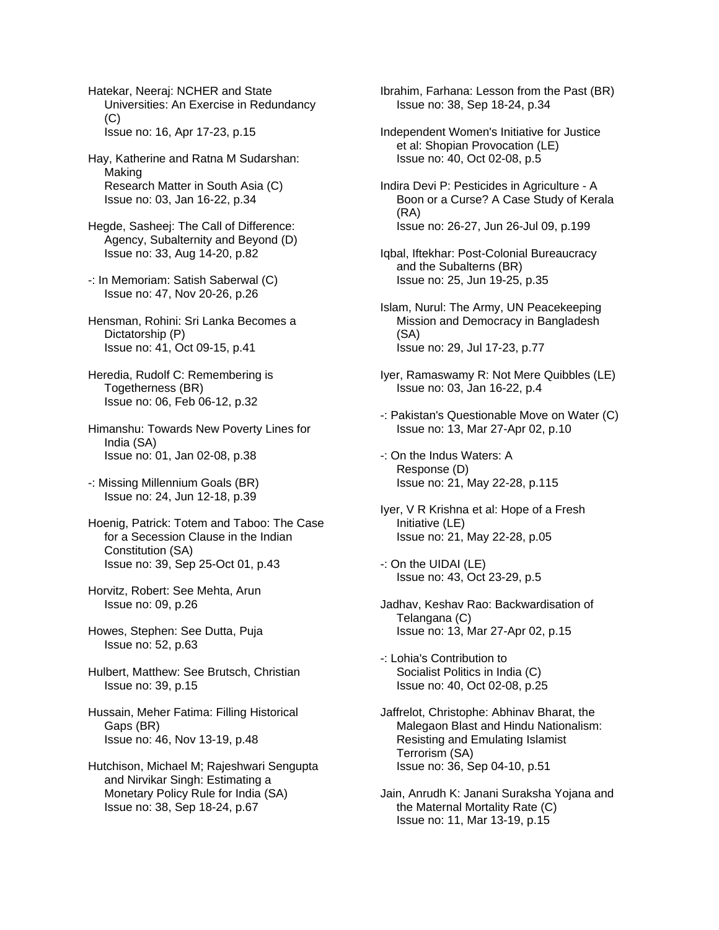Hatekar, Neeraj: NCHER and State Universities: An Exercise in Redundancy  $(C)$ Issue no: 16, Apr 17-23, p.15

Hay, Katherine and Ratna M Sudarshan: Making Research Matter in South Asia (C) Issue no: 03, Jan 16-22, p.34

Hegde, Sasheej: The Call of Difference: Agency, Subalternity and Beyond (D) Issue no: 33, Aug 14-20, p.82

- -: In Memoriam: Satish Saberwal (C) Issue no: 47, Nov 20-26, p.26
- Hensman, Rohini: Sri Lanka Becomes a Dictatorship (P) Issue no: 41, Oct 09-15, p.41
- Heredia, Rudolf C: Remembering is Togetherness (BR) Issue no: 06, Feb 06-12, p.32
- Himanshu: Towards New Poverty Lines for India (SA) Issue no: 01, Jan 02-08, p.38
- -: Missing Millennium Goals (BR) Issue no: 24, Jun 12-18, p.39
- Hoenig, Patrick: Totem and Taboo: The Case for a Secession Clause in the Indian Constitution (SA) Issue no: 39, Sep 25-Oct 01, p.43
- Horvitz, Robert: See Mehta, Arun Issue no: 09, p.26
- Howes, Stephen: See Dutta, Puja Issue no: 52, p.63
- Hulbert, Matthew: See Brutsch, Christian Issue no: 39, p.15
- Hussain, Meher Fatima: Filling Historical Gaps (BR) Issue no: 46, Nov 13-19, p.48
- Hutchison, Michael M; Rajeshwari Sengupta and Nirvikar Singh: Estimating a Monetary Policy Rule for India (SA) Issue no: 38, Sep 18-24, p.67

Ibrahim, Farhana: Lesson from the Past (BR) Issue no: 38, Sep 18-24, p.34

- Independent Women's Initiative for Justice et al: Shopian Provocation (LE) Issue no: 40, Oct 02-08, p.5
- Indira Devi P: Pesticides in Agriculture A Boon or a Curse? A Case Study of Kerala (RA) Issue no: 26-27, Jun 26-Jul 09, p.199
- Iqbal, Iftekhar: Post-Colonial Bureaucracy and the Subalterns (BR) Issue no: 25, Jun 19-25, p.35
- Islam, Nurul: The Army, UN Peacekeeping Mission and Democracy in Bangladesh (SA) Issue no: 29, Jul 17-23, p.77
- Iyer, Ramaswamy R: Not Mere Quibbles (LE) Issue no: 03, Jan 16-22, p.4
- -: Pakistan's Questionable Move on Water (C) Issue no: 13, Mar 27-Apr 02, p.10
- -: On the Indus Waters: A Response (D) Issue no: 21, May 22-28, p.115
- Iyer, V R Krishna et al: Hope of a Fresh Initiative (LE) Issue no: 21, May 22-28, p.05
- -: On the UIDAI (LE) Issue no: 43, Oct 23-29, p.5
- Jadhav, Keshav Rao: Backwardisation of Telangana (C) Issue no: 13, Mar 27-Apr 02, p.15
- -: Lohia's Contribution to Socialist Politics in India (C) Issue no: 40, Oct 02-08, p.25
- Jaffrelot, Christophe: Abhinav Bharat, the Malegaon Blast and Hindu Nationalism: Resisting and Emulating Islamist Terrorism (SA) Issue no: 36, Sep 04-10, p.51
- Jain, Anrudh K: Janani Suraksha Yojana and the Maternal Mortality Rate (C) Issue no: 11, Mar 13-19, p.15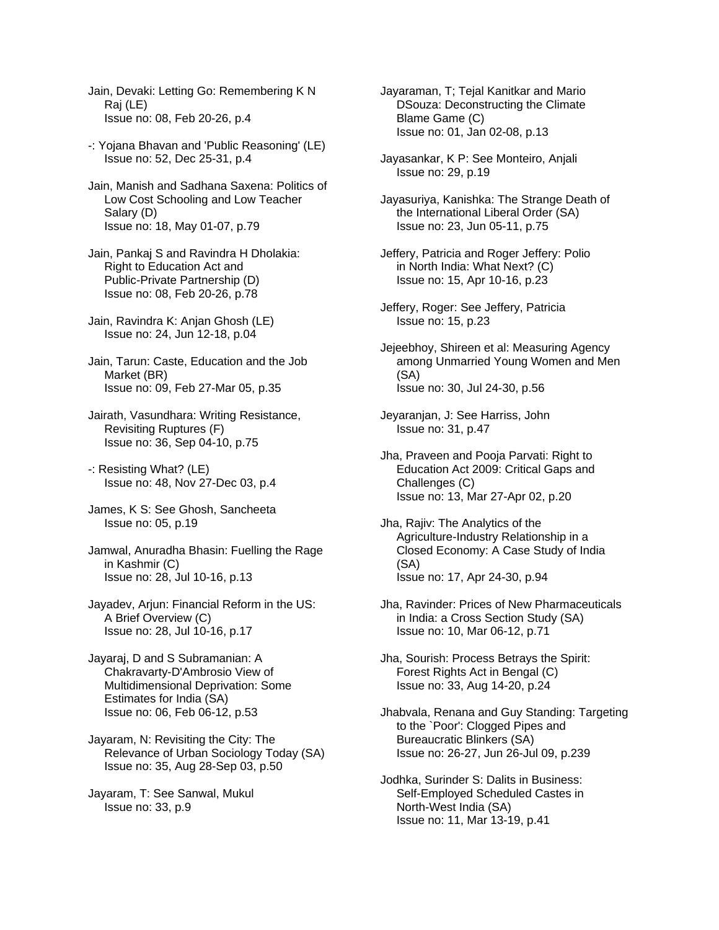- Jain, Devaki: Letting Go: Remembering K N Raj (LE) Issue no: 08, Feb 20-26, p.4
- -: Yojana Bhavan and 'Public Reasoning' (LE) Issue no: 52, Dec 25-31, p.4
- Jain, Manish and Sadhana Saxena: Politics of Low Cost Schooling and Low Teacher Salary (D) Issue no: 18, May 01-07, p.79
- Jain, Pankaj S and Ravindra H Dholakia: Right to Education Act and Public-Private Partnership (D) Issue no: 08, Feb 20-26, p.78
- Jain, Ravindra K: Anjan Ghosh (LE) Issue no: 24, Jun 12-18, p.04
- Jain, Tarun: Caste, Education and the Job Market (BR) Issue no: 09, Feb 27-Mar 05, p.35
- Jairath, Vasundhara: Writing Resistance, Revisiting Ruptures (F) Issue no: 36, Sep 04-10, p.75
- -: Resisting What? (LE) Issue no: 48, Nov 27-Dec 03, p.4
- James, K S: See Ghosh, Sancheeta Issue no: 05, p.19
- Jamwal, Anuradha Bhasin: Fuelling the Rage in Kashmir (C) Issue no: 28, Jul 10-16, p.13
- Jayadev, Arjun: Financial Reform in the US: A Brief Overview (C) Issue no: 28, Jul 10-16, p.17
- Jayaraj, D and S Subramanian: A Chakravarty-D'Ambrosio View of Multidimensional Deprivation: Some Estimates for India (SA) Issue no: 06, Feb 06-12, p.53
- Jayaram, N: Revisiting the City: The Relevance of Urban Sociology Today (SA) Issue no: 35, Aug 28-Sep 03, p.50
- Jayaram, T: See Sanwal, Mukul Issue no: 33, p.9
- Jayaraman, T; Tejal Kanitkar and Mario DSouza: Deconstructing the Climate Blame Game (C) Issue no: 01, Jan 02-08, p.13
- Jayasankar, K P: See Monteiro, Anjali Issue no: 29, p.19
- Jayasuriya, Kanishka: The Strange Death of the International Liberal Order (SA) Issue no: 23, Jun 05-11, p.75
- Jeffery, Patricia and Roger Jeffery: Polio in North India: What Next? (C) Issue no: 15, Apr 10-16, p.23
- Jeffery, Roger: See Jeffery, Patricia Issue no: 15, p.23
- Jejeebhoy, Shireen et al: Measuring Agency among Unmarried Young Women and Men (SA) Issue no: 30, Jul 24-30, p.56
- Jeyaranjan, J: See Harriss, John Issue no: 31, p.47
- Jha, Praveen and Pooja Parvati: Right to Education Act 2009: Critical Gaps and Challenges (C) Issue no: 13, Mar 27-Apr 02, p.20
- Jha, Rajiv: The Analytics of the Agriculture-Industry Relationship in a Closed Economy: A Case Study of India (SA) Issue no: 17, Apr 24-30, p.94
- Jha, Ravinder: Prices of New Pharmaceuticals in India: a Cross Section Study (SA) Issue no: 10, Mar 06-12, p.71
- Jha, Sourish: Process Betrays the Spirit: Forest Rights Act in Bengal (C) Issue no: 33, Aug 14-20, p.24
- Jhabvala, Renana and Guy Standing: Targeting to the `Poor': Clogged Pipes and Bureaucratic Blinkers (SA) Issue no: 26-27, Jun 26-Jul 09, p.239
- Jodhka, Surinder S: Dalits in Business: Self-Employed Scheduled Castes in North-West India (SA) Issue no: 11, Mar 13-19, p.41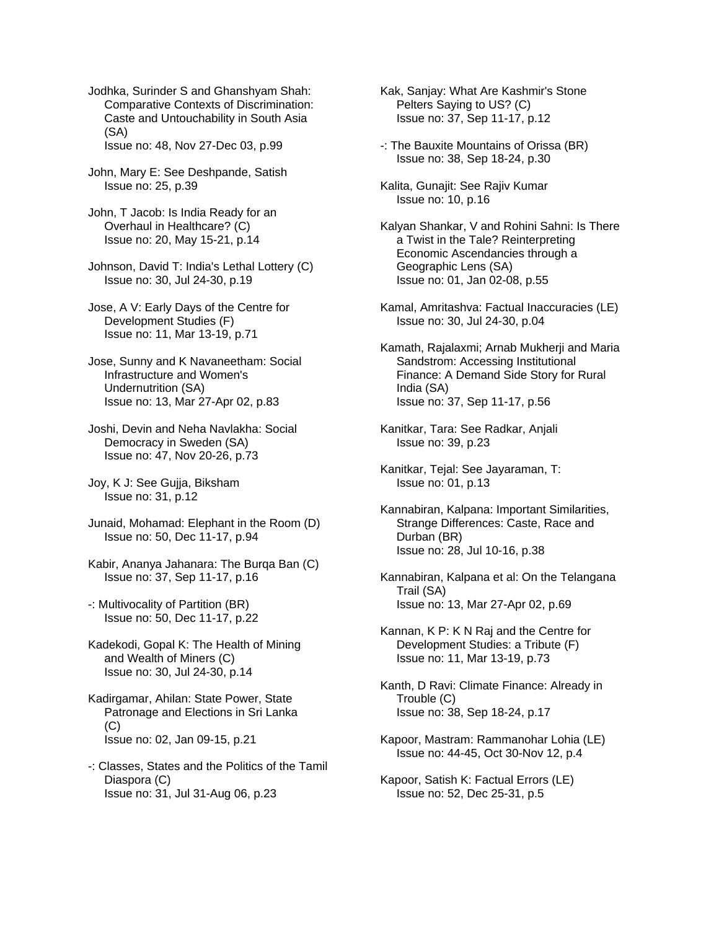Jodhka, Surinder S and Ghanshyam Shah: Comparative Contexts of Discrimination: Caste and Untouchability in South Asia (SA)

Issue no: 48, Nov 27-Dec 03, p.99

- John, Mary E: See Deshpande, Satish Issue no: 25, p.39
- John, T Jacob: Is India Ready for an Overhaul in Healthcare? (C) Issue no: 20, May 15-21, p.14
- Johnson, David T: India's Lethal Lottery (C) Issue no: 30, Jul 24-30, p.19
- Jose, A V: Early Days of the Centre for Development Studies (F) Issue no: 11, Mar 13-19, p.71
- Jose, Sunny and K Navaneetham: Social Infrastructure and Women's Undernutrition (SA) Issue no: 13, Mar 27-Apr 02, p.83
- Joshi, Devin and Neha Navlakha: Social Democracy in Sweden (SA) Issue no: 47, Nov 20-26, p.73
- Joy, K J: See Gujja, Biksham Issue no: 31, p.12
- Junaid, Mohamad: Elephant in the Room (D) Issue no: 50, Dec 11-17, p.94
- Kabir, Ananya Jahanara: The Burga Ban (C) Issue no: 37, Sep 11-17, p.16
- -: Multivocality of Partition (BR) Issue no: 50, Dec 11-17, p.22
- Kadekodi, Gopal K: The Health of Mining and Wealth of Miners (C) Issue no: 30, Jul 24-30, p.14
- Kadirgamar, Ahilan: State Power, State Patronage and Elections in Sri Lanka (C) Issue no: 02, Jan 09-15, p.21
- -: Classes, States and the Politics of the Tamil Diaspora (C) Issue no: 31, Jul 31-Aug 06, p.23
- Kak, Sanjay: What Are Kashmir's Stone Pelters Saying to US? (C) Issue no: 37, Sep 11-17, p.12
- -: The Bauxite Mountains of Orissa (BR) Issue no: 38, Sep 18-24, p.30
- Kalita, Gunajit: See Rajiv Kumar Issue no: 10, p.16
- Kalyan Shankar, V and Rohini Sahni: Is There a Twist in the Tale? Reinterpreting Economic Ascendancies through a Geographic Lens (SA) Issue no: 01, Jan 02-08, p.55
- Kamal, Amritashva: Factual Inaccuracies (LE) Issue no: 30, Jul 24-30, p.04
- Kamath, Rajalaxmi; Arnab Mukherji and Maria Sandstrom: Accessing Institutional Finance: A Demand Side Story for Rural India (SA) Issue no: 37, Sep 11-17, p.56
- Kanitkar, Tara: See Radkar, Anjali Issue no: 39, p.23
- Kanitkar, Tejal: See Jayaraman, T: Issue no: 01, p.13
- Kannabiran, Kalpana: Important Similarities, Strange Differences: Caste, Race and Durban (BR) Issue no: 28, Jul 10-16, p.38
- Kannabiran, Kalpana et al: On the Telangana Trail (SA) Issue no: 13, Mar 27-Apr 02, p.69
- Kannan, K P: K N Raj and the Centre for Development Studies: a Tribute (F) Issue no: 11, Mar 13-19, p.73
- Kanth, D Ravi: Climate Finance: Already in Trouble (C) Issue no: 38, Sep 18-24, p.17
- Kapoor, Mastram: Rammanohar Lohia (LE) Issue no: 44-45, Oct 30-Nov 12, p.4
- Kapoor, Satish K: Factual Errors (LE) Issue no: 52, Dec 25-31, p.5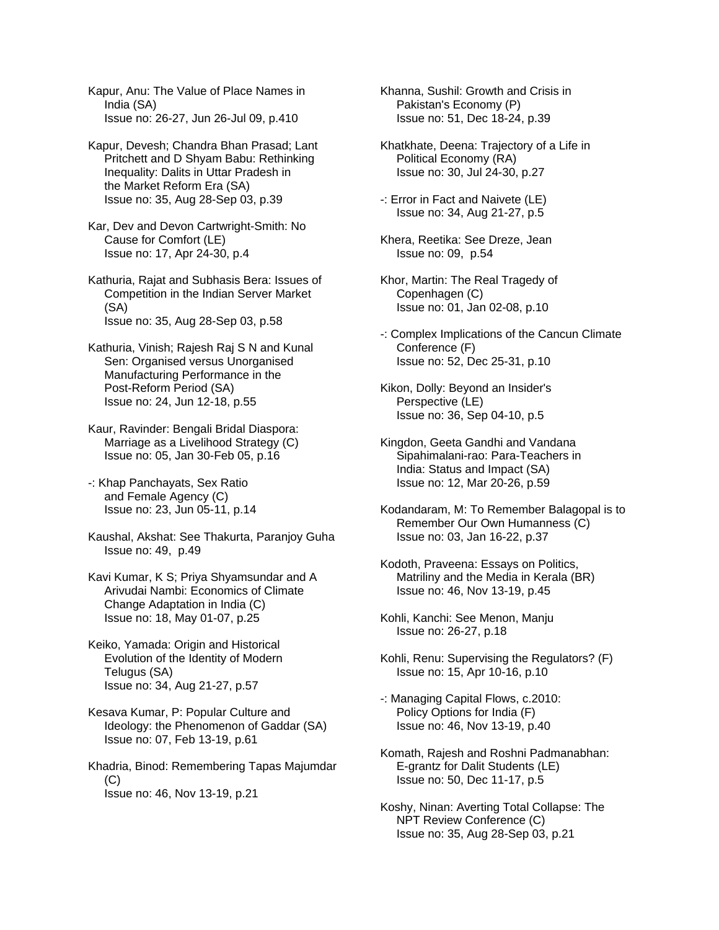Kapur, Anu: The Value of Place Names in India (SA) Issue no: 26-27, Jun 26-Jul 09, p.410

Kapur, Devesh; Chandra Bhan Prasad; Lant Pritchett and D Shyam Babu: Rethinking Inequality: Dalits in Uttar Pradesh in the Market Reform Era (SA) Issue no: 35, Aug 28-Sep 03, p.39

Kar, Dev and Devon Cartwright-Smith: No Cause for Comfort (LE) Issue no: 17, Apr 24-30, p.4

Kathuria, Rajat and Subhasis Bera: Issues of Competition in the Indian Server Market (SA) Issue no: 35, Aug 28-Sep 03, p.58

Kathuria, Vinish; Rajesh Raj S N and Kunal Sen: Organised versus Unorganised Manufacturing Performance in the Post-Reform Period (SA) Issue no: 24, Jun 12-18, p.55

Kaur, Ravinder: Bengali Bridal Diaspora: Marriage as a Livelihood Strategy (C) Issue no: 05, Jan 30-Feb 05, p.16

-: Khap Panchayats, Sex Ratio and Female Agency (C) Issue no: 23, Jun 05-11, p.14

Kaushal, Akshat: See Thakurta, Paranjoy Guha Issue no: 49, p.49

Kavi Kumar, K S; Priya Shyamsundar and A Arivudai Nambi: Economics of Climate Change Adaptation in India (C) Issue no: 18, May 01-07, p.25

Keiko, Yamada: Origin and Historical Evolution of the Identity of Modern Telugus (SA) Issue no: 34, Aug 21-27, p.57

Kesava Kumar, P: Popular Culture and Ideology: the Phenomenon of Gaddar (SA) Issue no: 07, Feb 13-19, p.61

Khadria, Binod: Remembering Tapas Majumdar (C) Issue no: 46, Nov 13-19, p.21

Khanna, Sushil: Growth and Crisis in Pakistan's Economy (P) Issue no: 51, Dec 18-24, p.39

Khatkhate, Deena: Trajectory of a Life in Political Economy (RA) Issue no: 30, Jul 24-30, p.27

-: Error in Fact and Naivete (LE) Issue no: 34, Aug 21-27, p.5

Khera, Reetika: See Dreze, Jean Issue no: 09, p.54

Khor, Martin: The Real Tragedy of Copenhagen (C) Issue no: 01, Jan 02-08, p.10

-: Complex Implications of the Cancun Climate Conference (F) Issue no: 52, Dec 25-31, p.10

Kikon, Dolly: Beyond an Insider's Perspective (LE) Issue no: 36, Sep 04-10, p.5

Kingdon, Geeta Gandhi and Vandana Sipahimalani-rao: Para-Teachers in India: Status and Impact (SA) Issue no: 12, Mar 20-26, p.59

Kodandaram, M: To Remember Balagopal is to Remember Our Own Humanness (C) Issue no: 03, Jan 16-22, p.37

Kodoth, Praveena: Essays on Politics, Matriliny and the Media in Kerala (BR) Issue no: 46, Nov 13-19, p.45

Kohli, Kanchi: See Menon, Manju Issue no: 26-27, p.18

Kohli, Renu: Supervising the Regulators? (F) Issue no: 15, Apr 10-16, p.10

-: Managing Capital Flows, c.2010: Policy Options for India (F) Issue no: 46, Nov 13-19, p.40

Komath, Rajesh and Roshni Padmanabhan: E-grantz for Dalit Students (LE) Issue no: 50, Dec 11-17, p.5

Koshy, Ninan: Averting Total Collapse: The NPT Review Conference (C) Issue no: 35, Aug 28-Sep 03, p.21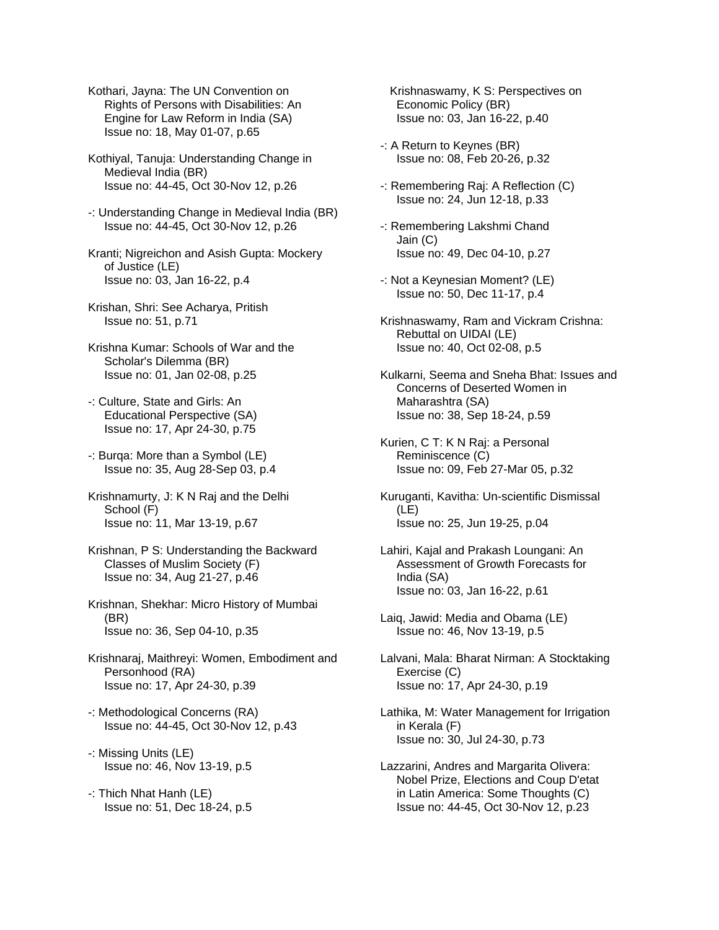Kothari, Jayna: The UN Convention on Rights of Persons with Disabilities: An Engine for Law Reform in India (SA) Issue no: 18, May 01-07, p.65

Kothiyal, Tanuja: Understanding Change in Medieval India (BR) Issue no: 44-45, Oct 30-Nov 12, p.26

- -: Understanding Change in Medieval India (BR) Issue no: 44-45, Oct 30-Nov 12, p.26
- Kranti; Nigreichon and Asish Gupta: Mockery of Justice (LE) Issue no: 03, Jan 16-22, p.4
- Krishan, Shri: See Acharya, Pritish Issue no: 51, p.71
- Krishna Kumar: Schools of War and the Scholar's Dilemma (BR) Issue no: 01, Jan 02-08, p.25
- -: Culture, State and Girls: An Educational Perspective (SA) Issue no: 17, Apr 24-30, p.75
- -: Burqa: More than a Symbol (LE) Issue no: 35, Aug 28-Sep 03, p.4
- Krishnamurty, J: K N Raj and the Delhi School (F) Issue no: 11, Mar 13-19, p.67
- Krishnan, P S: Understanding the Backward Classes of Muslim Society (F) Issue no: 34, Aug 21-27, p.46
- Krishnan, Shekhar: Micro History of Mumbai (BR) Issue no: 36, Sep 04-10, p.35
- Krishnaraj, Maithreyi: Women, Embodiment and Personhood (RA) Issue no: 17, Apr 24-30, p.39
- -: Methodological Concerns (RA) Issue no: 44-45, Oct 30-Nov 12, p.43
- -: Missing Units (LE) Issue no: 46, Nov 13-19, p.5
- -: Thich Nhat Hanh (LE) Issue no: 51, Dec 18-24, p.5

 Krishnaswamy, K S: Perspectives on Economic Policy (BR) Issue no: 03, Jan 16-22, p.40

- -: A Return to Keynes (BR) Issue no: 08, Feb 20-26, p.32
- -: Remembering Raj: A Reflection (C) Issue no: 24, Jun 12-18, p.33
- -: Remembering Lakshmi Chand Jain (C) Issue no: 49, Dec 04-10, p.27
- -: Not a Keynesian Moment? (LE) Issue no: 50, Dec 11-17, p.4
- Krishnaswamy, Ram and Vickram Crishna: Rebuttal on UIDAI (LE) Issue no: 40, Oct 02-08, p.5
- Kulkarni, Seema and Sneha Bhat: Issues and Concerns of Deserted Women in Maharashtra (SA) Issue no: 38, Sep 18-24, p.59
- Kurien, C T: K N Raj: a Personal Reminiscence (C) Issue no: 09, Feb 27-Mar 05, p.32
- Kuruganti, Kavitha: Un-scientific Dismissal (LE) Issue no: 25, Jun 19-25, p.04
- Lahiri, Kajal and Prakash Loungani: An Assessment of Growth Forecasts for India (SA) Issue no: 03, Jan 16-22, p.61
- Laiq, Jawid: Media and Obama (LE) Issue no: 46, Nov 13-19, p.5
- Lalvani, Mala: Bharat Nirman: A Stocktaking Exercise (C) Issue no: 17, Apr 24-30, p.19
- Lathika, M: Water Management for Irrigation in Kerala (F) Issue no: 30, Jul 24-30, p.73
- Lazzarini, Andres and Margarita Olivera: Nobel Prize, Elections and Coup D'etat in Latin America: Some Thoughts (C) Issue no: 44-45, Oct 30-Nov 12, p.23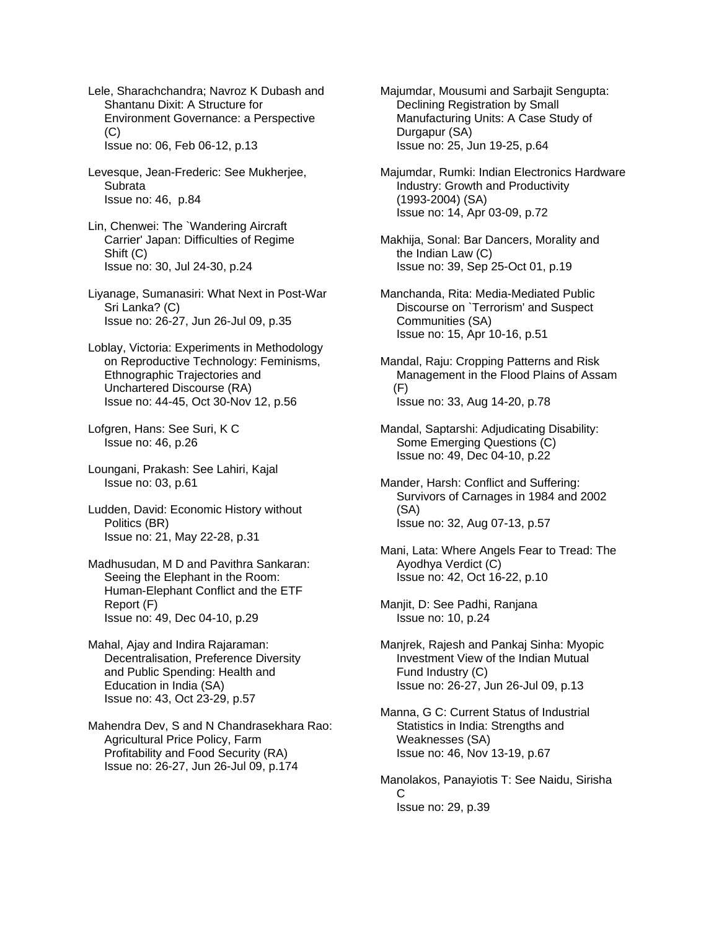Lele, Sharachchandra; Navroz K Dubash and Shantanu Dixit: A Structure for Environment Governance: a Perspective  $(C)$ Issue no: 06, Feb 06-12, p.13

Levesque, Jean-Frederic: See Mukherjee, **Subrata** Issue no: 46, p.84

Lin, Chenwei: The `Wandering Aircraft Carrier' Japan: Difficulties of Regime Shift (C) Issue no: 30, Jul 24-30, p.24

Liyanage, Sumanasiri: What Next in Post-War Sri Lanka? (C) Issue no: 26-27, Jun 26-Jul 09, p.35

Loblay, Victoria: Experiments in Methodology on Reproductive Technology: Feminisms, Ethnographic Trajectories and Unchartered Discourse (RA) Issue no: 44-45, Oct 30-Nov 12, p.56

Lofgren, Hans: See Suri, K C Issue no: 46, p.26

Loungani, Prakash: See Lahiri, Kajal Issue no: 03, p.61

Ludden, David: Economic History without Politics (BR) Issue no: 21, May 22-28, p.31

Madhusudan, M D and Pavithra Sankaran: Seeing the Elephant in the Room: Human-Elephant Conflict and the ETF Report (F) Issue no: 49, Dec 04-10, p.29

Mahal, Ajay and Indira Rajaraman: Decentralisation, Preference Diversity and Public Spending: Health and Education in India (SA) Issue no: 43, Oct 23-29, p.57

Mahendra Dev, S and N Chandrasekhara Rao: Agricultural Price Policy, Farm Profitability and Food Security (RA) Issue no: 26-27, Jun 26-Jul 09, p.174

Majumdar, Mousumi and Sarbajit Sengupta: Declining Registration by Small Manufacturing Units: A Case Study of Durgapur (SA) Issue no: 25, Jun 19-25, p.64

Majumdar, Rumki: Indian Electronics Hardware Industry: Growth and Productivity (1993-2004) (SA) Issue no: 14, Apr 03-09, p.72

- Makhija, Sonal: Bar Dancers, Morality and the Indian Law (C) Issue no: 39, Sep 25-Oct 01, p.19
- Manchanda, Rita: Media-Mediated Public Discourse on `Terrorism' and Suspect Communities (SA) Issue no: 15, Apr 10-16, p.51

Mandal, Raju: Cropping Patterns and Risk Management in the Flood Plains of Assam (F) Issue no: 33, Aug 14-20, p.78

- Mandal, Saptarshi: Adjudicating Disability: Some Emerging Questions (C) Issue no: 49, Dec 04-10, p.22
- Mander, Harsh: Conflict and Suffering: Survivors of Carnages in 1984 and 2002 (SA) Issue no: 32, Aug 07-13, p.57

Mani, Lata: Where Angels Fear to Tread: The Ayodhya Verdict (C) Issue no: 42, Oct 16-22, p.10

Manjit, D: See Padhi, Ranjana Issue no: 10, p.24

Manjrek, Rajesh and Pankaj Sinha: Myopic Investment View of the Indian Mutual Fund Industry (C) Issue no: 26-27, Jun 26-Jul 09, p.13

Manna, G C: Current Status of Industrial Statistics in India: Strengths and Weaknesses (SA) Issue no: 46, Nov 13-19, p.67

Manolakos, Panayiotis T: See Naidu, Sirisha C Issue no: 29, p.39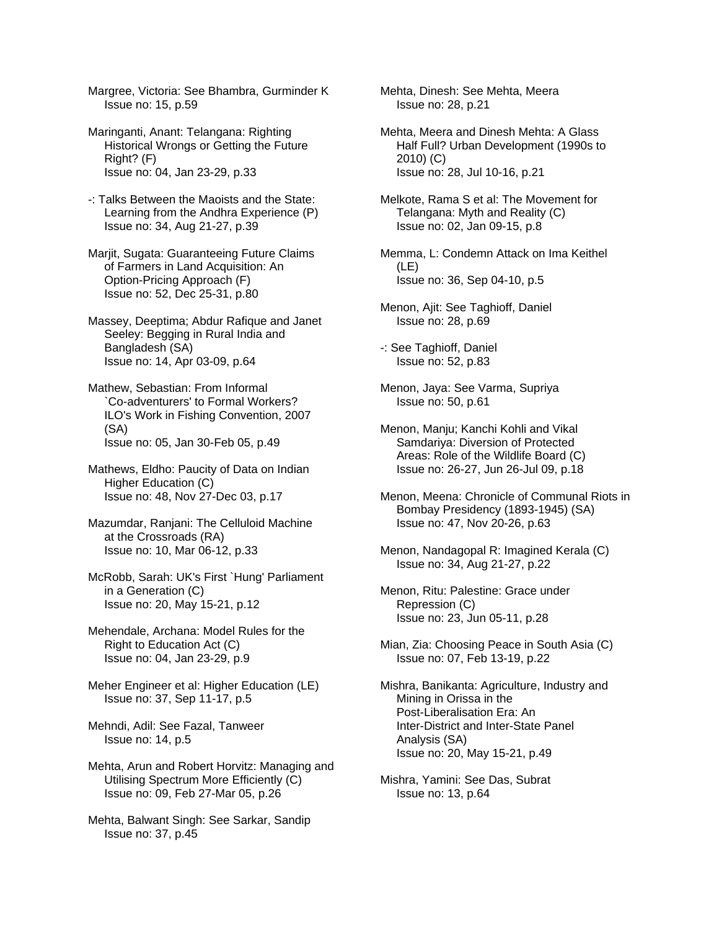Margree, Victoria: See Bhambra, Gurminder K Issue no: 15, p.59

Maringanti, Anant: Telangana: Righting Historical Wrongs or Getting the Future Right? (F) Issue no: 04, Jan 23-29, p.33

-: Talks Between the Maoists and the State: Learning from the Andhra Experience (P) Issue no: 34, Aug 21-27, p.39

Marjit, Sugata: Guaranteeing Future Claims of Farmers in Land Acquisition: An Option-Pricing Approach (F) Issue no: 52, Dec 25-31, p.80

Massey, Deeptima; Abdur Rafique and Janet Seeley: Begging in Rural India and Bangladesh (SA) Issue no: 14, Apr 03-09, p.64

Mathew, Sebastian: From Informal `Co-adventurers' to Formal Workers? ILO's Work in Fishing Convention, 2007 (SA) Issue no: 05, Jan 30-Feb 05, p.49

Mathews, Eldho: Paucity of Data on Indian Higher Education (C) Issue no: 48, Nov 27-Dec 03, p.17

Mazumdar, Ranjani: The Celluloid Machine at the Crossroads (RA) Issue no: 10, Mar 06-12, p.33

McRobb, Sarah: UK's First `Hung' Parliament in a Generation (C) Issue no: 20, May 15-21, p.12

Mehendale, Archana: Model Rules for the Right to Education Act (C) Issue no: 04, Jan 23-29, p.9

Meher Engineer et al: Higher Education (LE) Issue no: 37, Sep 11-17, p.5

Mehndi, Adil: See Fazal, Tanweer Issue no: 14, p.5

Mehta, Arun and Robert Horvitz: Managing and Utilising Spectrum More Efficiently (C) Issue no: 09, Feb 27-Mar 05, p.26

Mehta, Balwant Singh: See Sarkar, Sandip Issue no: 37, p.45

Mehta, Dinesh: See Mehta, Meera Issue no: 28, p.21

Mehta, Meera and Dinesh Mehta: A Glass Half Full? Urban Development (1990s to 2010) (C) Issue no: 28, Jul 10-16, p.21

Melkote, Rama S et al: The Movement for Telangana: Myth and Reality (C) Issue no: 02, Jan 09-15, p.8

Memma, L: Condemn Attack on Ima Keithel (LE) Issue no: 36, Sep 04-10, p.5

Menon, Ajit: See Taghioff, Daniel Issue no: 28, p.69

-: See Taghioff, Daniel Issue no: 52, p.83

Menon, Jaya: See Varma, Supriya Issue no: 50, p.61

Menon, Manju; Kanchi Kohli and Vikal Samdariya: Diversion of Protected Areas: Role of the Wildlife Board (C) Issue no: 26-27, Jun 26-Jul 09, p.18

Menon, Meena: Chronicle of Communal Riots in Bombay Presidency (1893-1945) (SA) Issue no: 47, Nov 20-26, p.63

Menon, Nandagopal R: Imagined Kerala (C) Issue no: 34, Aug 21-27, p.22

Menon, Ritu: Palestine: Grace under Repression (C) Issue no: 23, Jun 05-11, p.28

Mian, Zia: Choosing Peace in South Asia (C) Issue no: 07, Feb 13-19, p.22

Mishra, Banikanta: Agriculture, Industry and Mining in Orissa in the Post-Liberalisation Era: An Inter-District and Inter-State Panel Analysis (SA) Issue no: 20, May 15-21, p.49

Mishra, Yamini: See Das, Subrat Issue no: 13, p.64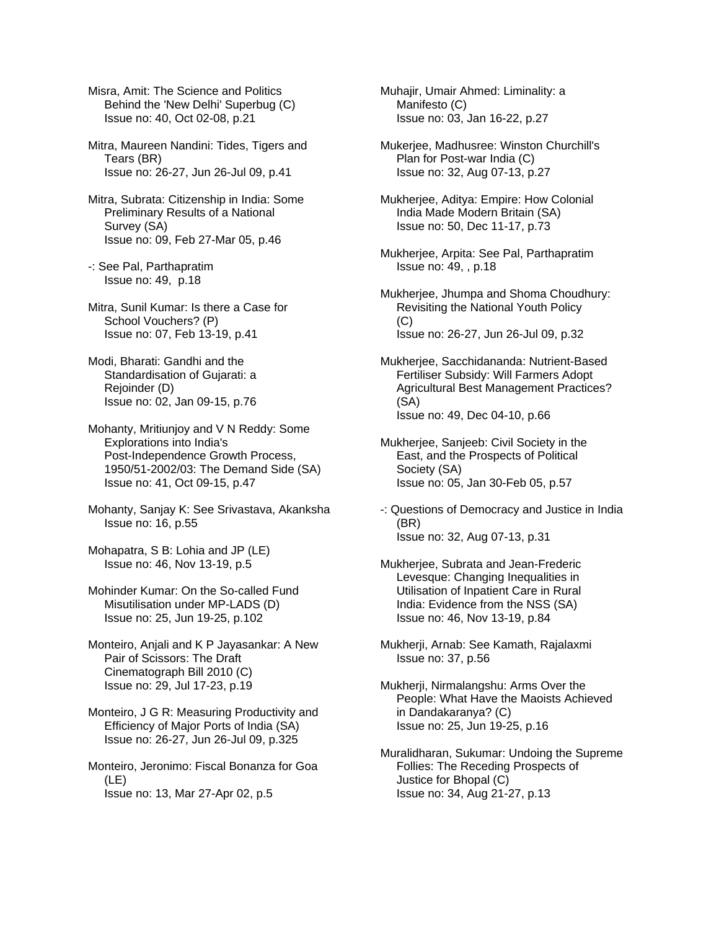Misra, Amit: The Science and Politics Behind the 'New Delhi' Superbug (C) Issue no: 40, Oct 02-08, p.21

Mitra, Maureen Nandini: Tides, Tigers and Tears (BR) Issue no: 26-27, Jun 26-Jul 09, p.41

- Mitra, Subrata: Citizenship in India: Some Preliminary Results of a National Survey (SA) Issue no: 09, Feb 27-Mar 05, p.46
- -: See Pal, Parthapratim Issue no: 49, p.18
- Mitra, Sunil Kumar: Is there a Case for School Vouchers? (P) Issue no: 07, Feb 13-19, p.41
- Modi, Bharati: Gandhi and the Standardisation of Gujarati: a Rejoinder (D) Issue no: 02, Jan 09-15, p.76
- Mohanty, Mritiunjoy and V N Reddy: Some Explorations into India's Post-Independence Growth Process, 1950/51-2002/03: The Demand Side (SA) Issue no: 41, Oct 09-15, p.47
- Mohanty, Sanjay K: See Srivastava, Akanksha Issue no: 16, p.55
- Mohapatra, S B: Lohia and JP (LE) Issue no: 46, Nov 13-19, p.5
- Mohinder Kumar: On the So-called Fund Misutilisation under MP-LADS (D) Issue no: 25, Jun 19-25, p.102
- Monteiro, Anjali and K P Jayasankar: A New Pair of Scissors: The Draft Cinematograph Bill 2010 (C) Issue no: 29, Jul 17-23, p.19
- Monteiro, J G R: Measuring Productivity and Efficiency of Major Ports of India (SA) Issue no: 26-27, Jun 26-Jul 09, p.325
- Monteiro, Jeronimo: Fiscal Bonanza for Goa (LE) Issue no: 13, Mar 27-Apr 02, p.5
- Muhajir, Umair Ahmed: Liminality: a Manifesto (C) Issue no: 03, Jan 16-22, p.27
- Mukerjee, Madhusree: Winston Churchill's Plan for Post-war India (C) Issue no: 32, Aug 07-13, p.27
- Mukherjee, Aditya: Empire: How Colonial India Made Modern Britain (SA) Issue no: 50, Dec 11-17, p.73
- Mukherjee, Arpita: See Pal, Parthapratim Issue no: 49, , p.18
- Mukherjee, Jhumpa and Shoma Choudhury: Revisiting the National Youth Policy (C) Issue no: 26-27, Jun 26-Jul 09, p.32
- Mukherjee, Sacchidananda: Nutrient-Based Fertiliser Subsidy: Will Farmers Adopt Agricultural Best Management Practices? (SA) Issue no: 49, Dec 04-10, p.66
- Mukherjee, Sanjeeb: Civil Society in the East, and the Prospects of Political Society (SA) Issue no: 05, Jan 30-Feb 05, p.57
- -: Questions of Democracy and Justice in India (BR) Issue no: 32, Aug 07-13, p.31
- Mukherjee, Subrata and Jean-Frederic Levesque: Changing Inequalities in Utilisation of Inpatient Care in Rural India: Evidence from the NSS (SA) Issue no: 46, Nov 13-19, p.84
- Mukherji, Arnab: See Kamath, Rajalaxmi Issue no: 37, p.56
- Mukherji, Nirmalangshu: Arms Over the People: What Have the Maoists Achieved in Dandakaranya? (C) Issue no: 25, Jun 19-25, p.16
- Muralidharan, Sukumar: Undoing the Supreme Follies: The Receding Prospects of Justice for Bhopal (C) Issue no: 34, Aug 21-27, p.13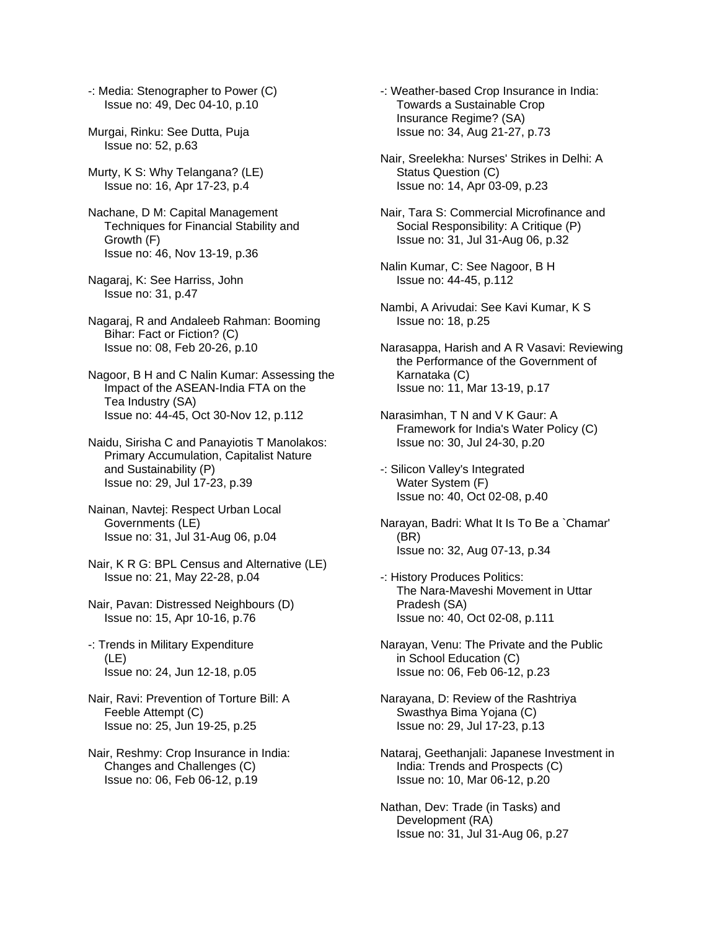-: Media: Stenographer to Power (C) Issue no: 49, Dec 04-10, p.10

- Murgai, Rinku: See Dutta, Puja Issue no: 52, p.63
- Murty, K S: Why Telangana? (LE) Issue no: 16, Apr 17-23, p.4
- Nachane, D M: Capital Management Techniques for Financial Stability and Growth (F) Issue no: 46, Nov 13-19, p.36
- Nagaraj, K: See Harriss, John Issue no: 31, p.47
- Nagaraj, R and Andaleeb Rahman: Booming Bihar: Fact or Fiction? (C) Issue no: 08, Feb 20-26, p.10
- Nagoor, B H and C Nalin Kumar: Assessing the Impact of the ASEAN-India FTA on the Tea Industry (SA) Issue no: 44-45, Oct 30-Nov 12, p.112
- Naidu, Sirisha C and Panayiotis T Manolakos: Primary Accumulation, Capitalist Nature and Sustainability (P) Issue no: 29, Jul 17-23, p.39
- Nainan, Navtej: Respect Urban Local Governments (LE) Issue no: 31, Jul 31-Aug 06, p.04
- Nair, K R G: BPL Census and Alternative (LE) Issue no: 21, May 22-28, p.04
- Nair, Pavan: Distressed Neighbours (D) Issue no: 15, Apr 10-16, p.76
- -: Trends in Military Expenditure (LE) Issue no: 24, Jun 12-18, p.05
- Nair, Ravi: Prevention of Torture Bill: A Feeble Attempt (C) Issue no: 25, Jun 19-25, p.25
- Nair, Reshmy: Crop Insurance in India: Changes and Challenges (C) Issue no: 06, Feb 06-12, p.19
- -: Weather-based Crop Insurance in India: Towards a Sustainable Crop Insurance Regime? (SA) Issue no: 34, Aug 21-27, p.73
- Nair, Sreelekha: Nurses' Strikes in Delhi: A Status Question (C) Issue no: 14, Apr 03-09, p.23
- Nair, Tara S: Commercial Microfinance and Social Responsibility: A Critique (P) Issue no: 31, Jul 31-Aug 06, p.32
- Nalin Kumar, C: See Nagoor, B H Issue no: 44-45, p.112
- Nambi, A Arivudai: See Kavi Kumar, K S Issue no: 18, p.25
- Narasappa, Harish and A R Vasavi: Reviewing the Performance of the Government of Karnataka (C) Issue no: 11, Mar 13-19, p.17
- Narasimhan, T N and V K Gaur: A Framework for India's Water Policy (C) Issue no: 30, Jul 24-30, p.20
- -: Silicon Valley's Integrated Water System (F) Issue no: 40, Oct 02-08, p.40
- Narayan, Badri: What It Is To Be a `Chamar' (BR) Issue no: 32, Aug 07-13, p.34
- -: History Produces Politics: The Nara-Maveshi Movement in Uttar Pradesh (SA) Issue no: 40, Oct 02-08, p.111
- Narayan, Venu: The Private and the Public in School Education (C) Issue no: 06, Feb 06-12, p.23
- Narayana, D: Review of the Rashtriya Swasthya Bima Yojana (C) Issue no: 29, Jul 17-23, p.13
- Nataraj, Geethanjali: Japanese Investment in India: Trends and Prospects (C) Issue no: 10, Mar 06-12, p.20
- Nathan, Dev: Trade (in Tasks) and Development (RA) Issue no: 31, Jul 31-Aug 06, p.27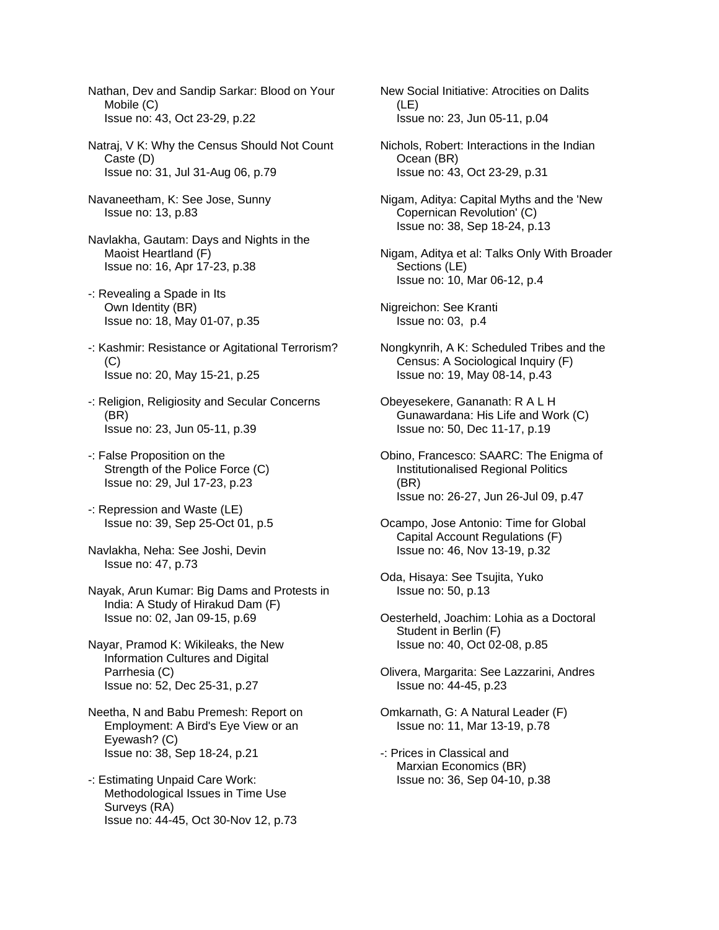Nathan, Dev and Sandip Sarkar: Blood on Your Mobile (C) Issue no: 43, Oct 23-29, p.22

- Natraj, V K: Why the Census Should Not Count Caste (D) Issue no: 31, Jul 31-Aug 06, p.79
- Navaneetham, K: See Jose, Sunny Issue no: 13, p.83
- Navlakha, Gautam: Days and Nights in the Maoist Heartland (F) Issue no: 16, Apr 17-23, p.38
- -: Revealing a Spade in Its Own Identity (BR) Issue no: 18, May 01-07, p.35
- -: Kashmir: Resistance or Agitational Terrorism? (C) Issue no: 20, May 15-21, p.25
- -: Religion, Religiosity and Secular Concerns (BR) Issue no: 23, Jun 05-11, p.39
- -: False Proposition on the Strength of the Police Force (C) Issue no: 29, Jul 17-23, p.23
- -: Repression and Waste (LE) Issue no: 39, Sep 25-Oct 01, p.5
- Navlakha, Neha: See Joshi, Devin Issue no: 47, p.73
- Nayak, Arun Kumar: Big Dams and Protests in India: A Study of Hirakud Dam (F) Issue no: 02, Jan 09-15, p.69
- Nayar, Pramod K: Wikileaks, the New Information Cultures and Digital Parrhesia (C) Issue no: 52, Dec 25-31, p.27
- Neetha, N and Babu Premesh: Report on Employment: A Bird's Eye View or an Eyewash? (C) Issue no: 38, Sep 18-24, p.21
- -: Estimating Unpaid Care Work: Methodological Issues in Time Use Surveys (RA) Issue no: 44-45, Oct 30-Nov 12, p.73
- New Social Initiative: Atrocities on Dalits (LE) Issue no: 23, Jun 05-11, p.04
- Nichols, Robert: Interactions in the Indian Ocean (BR) Issue no: 43, Oct 23-29, p.31
- Nigam, Aditya: Capital Myths and the 'New Copernican Revolution' (C) Issue no: 38, Sep 18-24, p.13
- Nigam, Aditya et al: Talks Only With Broader Sections (LE) Issue no: 10, Mar 06-12, p.4
- Nigreichon: See Kranti Issue no: 03, p.4
- Nongkynrih, A K: Scheduled Tribes and the Census: A Sociological Inquiry (F) Issue no: 19, May 08-14, p.43
- Obeyesekere, Gananath: R A L H Gunawardana: His Life and Work (C) Issue no: 50, Dec 11-17, p.19
- Obino, Francesco: SAARC: The Enigma of Institutionalised Regional Politics (BR) Issue no: 26-27, Jun 26-Jul 09, p.47
- Ocampo, Jose Antonio: Time for Global Capital Account Regulations (F) Issue no: 46, Nov 13-19, p.32
- Oda, Hisaya: See Tsujita, Yuko Issue no: 50, p.13
- Oesterheld, Joachim: Lohia as a Doctoral Student in Berlin (F) Issue no: 40, Oct 02-08, p.85
- Olivera, Margarita: See Lazzarini, Andres Issue no: 44-45, p.23
- Omkarnath, G: A Natural Leader (F) Issue no: 11, Mar 13-19, p.78
- -: Prices in Classical and Marxian Economics (BR) Issue no: 36, Sep 04-10, p.38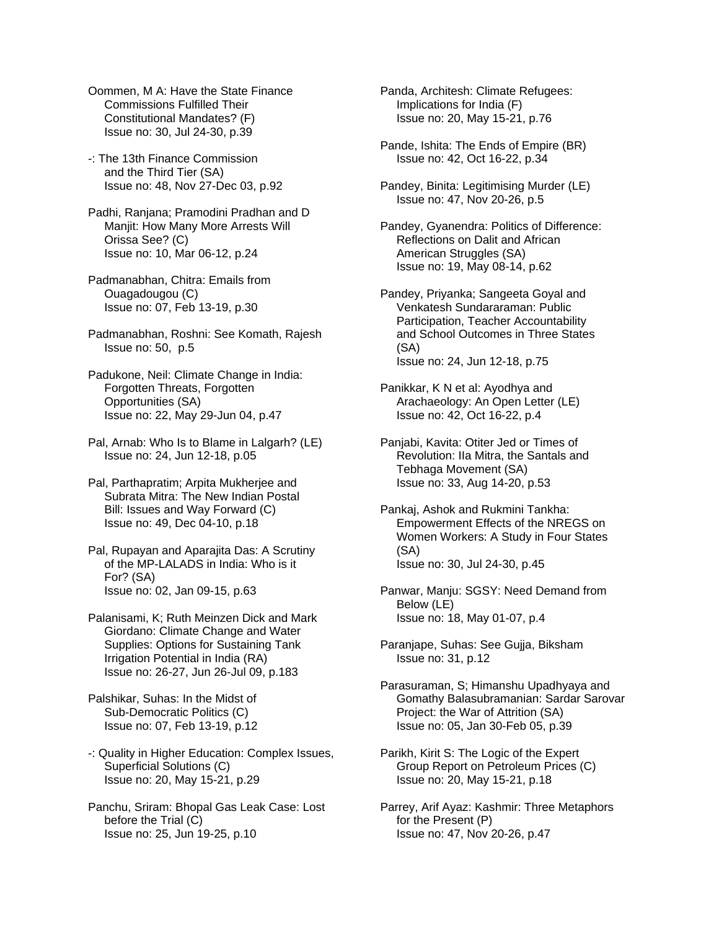Oommen, M A: Have the State Finance Commissions Fulfilled Their Constitutional Mandates? (F) Issue no: 30, Jul 24-30, p.39

-: The 13th Finance Commission and the Third Tier (SA) Issue no: 48, Nov 27-Dec 03, p.92

Padhi, Ranjana; Pramodini Pradhan and D Manjit: How Many More Arrests Will Orissa See? (C) Issue no: 10, Mar 06-12, p.24

Padmanabhan, Chitra: Emails from Ouagadougou (C) Issue no: 07, Feb 13-19, p.30

Padmanabhan, Roshni: See Komath, Rajesh Issue no: 50, p.5

Padukone, Neil: Climate Change in India: Forgotten Threats, Forgotten Opportunities (SA) Issue no: 22, May 29-Jun 04, p.47

Pal, Arnab: Who Is to Blame in Lalgarh? (LE) Issue no: 24, Jun 12-18, p.05

Pal, Parthapratim; Arpita Mukherjee and Subrata Mitra: The New Indian Postal Bill: Issues and Way Forward (C) Issue no: 49, Dec 04-10, p.18

Pal, Rupayan and Aparajita Das: A Scrutiny of the MP-LALADS in India: Who is it For? (SA) Issue no: 02, Jan 09-15, p.63

Palanisami, K; Ruth Meinzen Dick and Mark Giordano: Climate Change and Water Supplies: Options for Sustaining Tank Irrigation Potential in India (RA) Issue no: 26-27, Jun 26-Jul 09, p.183

Palshikar, Suhas: In the Midst of Sub-Democratic Politics (C) Issue no: 07, Feb 13-19, p.12

-: Quality in Higher Education: Complex Issues, Superficial Solutions (C) Issue no: 20, May 15-21, p.29

Panchu, Sriram: Bhopal Gas Leak Case: Lost before the Trial (C) Issue no: 25, Jun 19-25, p.10

Panda, Architesh: Climate Refugees: Implications for India (F) Issue no: 20, May 15-21, p.76

Pande, Ishita: The Ends of Empire (BR) Issue no: 42, Oct 16-22, p.34

Pandey, Binita: Legitimising Murder (LE) Issue no: 47, Nov 20-26, p.5

Pandey, Gyanendra: Politics of Difference: Reflections on Dalit and African American Struggles (SA) Issue no: 19, May 08-14, p.62

Pandey, Priyanka; Sangeeta Goyal and Venkatesh Sundararaman: Public Participation, Teacher Accountability and School Outcomes in Three States (SA) Issue no: 24, Jun 12-18, p.75

Panikkar, K N et al: Ayodhya and Arachaeology: An Open Letter (LE) Issue no: 42, Oct 16-22, p.4

Panjabi, Kavita: Otiter Jed or Times of Revolution: IIa Mitra, the Santals and Tebhaga Movement (SA) Issue no: 33, Aug 14-20, p.53

Pankaj, Ashok and Rukmini Tankha: Empowerment Effects of the NREGS on Women Workers: A Study in Four States (SA) Issue no: 30, Jul 24-30, p.45

Panwar, Manju: SGSY: Need Demand from Below (LE) Issue no: 18, May 01-07, p.4

Paranjape, Suhas: See Gujja, Biksham Issue no: 31, p.12

Parasuraman, S; Himanshu Upadhyaya and Gomathy Balasubramanian: Sardar Sarovar Project: the War of Attrition (SA) Issue no: 05, Jan 30-Feb 05, p.39

Parikh, Kirit S: The Logic of the Expert Group Report on Petroleum Prices (C) Issue no: 20, May 15-21, p.18

Parrey, Arif Ayaz: Kashmir: Three Metaphors for the Present (P) Issue no: 47, Nov 20-26, p.47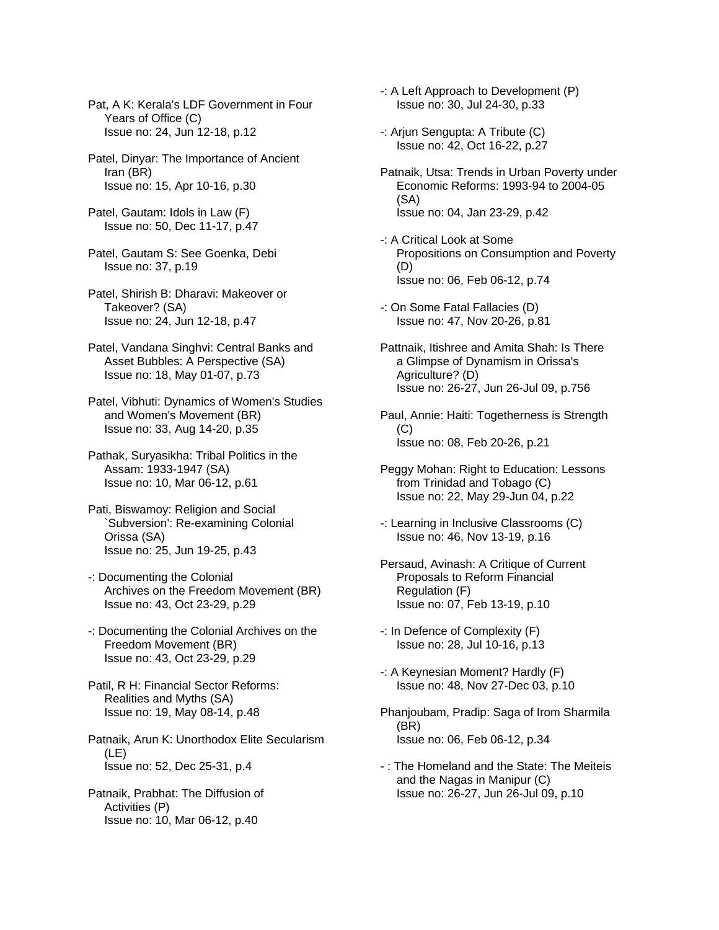Pat, A K: Kerala's LDF Government in Four Years of Office (C) Issue no: 24, Jun 12-18, p.12

Patel, Dinyar: The Importance of Ancient Iran (BR) Issue no: 15, Apr 10-16, p.30

Patel, Gautam: Idols in Law (F) Issue no: 50, Dec 11-17, p.47

Patel, Gautam S: See Goenka, Debi Issue no: 37, p.19

Patel, Shirish B: Dharavi: Makeover or Takeover? (SA) Issue no: 24, Jun 12-18, p.47

Patel, Vandana Singhvi: Central Banks and Asset Bubbles: A Perspective (SA) Issue no: 18, May 01-07, p.73

Patel, Vibhuti: Dynamics of Women's Studies and Women's Movement (BR) Issue no: 33, Aug 14-20, p.35

Pathak, Suryasikha: Tribal Politics in the Assam: 1933-1947 (SA) Issue no: 10, Mar 06-12, p.61

- Pati, Biswamoy: Religion and Social `Subversion': Re-examining Colonial Orissa (SA) Issue no: 25, Jun 19-25, p.43
- -: Documenting the Colonial Archives on the Freedom Movement (BR) Issue no: 43, Oct 23-29, p.29
- -: Documenting the Colonial Archives on the Freedom Movement (BR) Issue no: 43, Oct 23-29, p.29

Patil, R H: Financial Sector Reforms: Realities and Myths (SA) Issue no: 19, May 08-14, p.48

Patnaik, Arun K: Unorthodox Elite Secularism (LE) Issue no: 52, Dec 25-31, p.4

Patnaik, Prabhat: The Diffusion of Activities (P) Issue no: 10, Mar 06-12, p.40

-: A Left Approach to Development (P) Issue no: 30, Jul 24-30, p.33

- -: Arjun Sengupta: A Tribute (C) Issue no: 42, Oct 16-22, p.27
- Patnaik, Utsa: Trends in Urban Poverty under Economic Reforms: 1993-94 to 2004-05 (SA) Issue no: 04, Jan 23-29, p.42
- -: A Critical Look at Some Propositions on Consumption and Poverty (D) Issue no: 06, Feb 06-12, p.74
- -: On Some Fatal Fallacies (D) Issue no: 47, Nov 20-26, p.81
- Pattnaik, Itishree and Amita Shah: Is There a Glimpse of Dynamism in Orissa's Agriculture? (D) Issue no: 26-27, Jun 26-Jul 09, p.756

Paul, Annie: Haiti: Togetherness is Strength  $(C)$ Issue no: 08, Feb 20-26, p.21

Peggy Mohan: Right to Education: Lessons from Trinidad and Tobago (C) Issue no: 22, May 29-Jun 04, p.22

- -: Learning in Inclusive Classrooms (C) Issue no: 46, Nov 13-19, p.16
- Persaud, Avinash: A Critique of Current Proposals to Reform Financial Regulation (F) Issue no: 07, Feb 13-19, p.10
- -: In Defence of Complexity (F) Issue no: 28, Jul 10-16, p.13
- -: A Keynesian Moment? Hardly (F) Issue no: 48, Nov 27-Dec 03, p.10
- Phanjoubam, Pradip: Saga of Irom Sharmila (BR) Issue no: 06, Feb 06-12, p.34
- : The Homeland and the State: The Meiteis and the Nagas in Manipur (C) Issue no: 26-27, Jun 26-Jul 09, p.10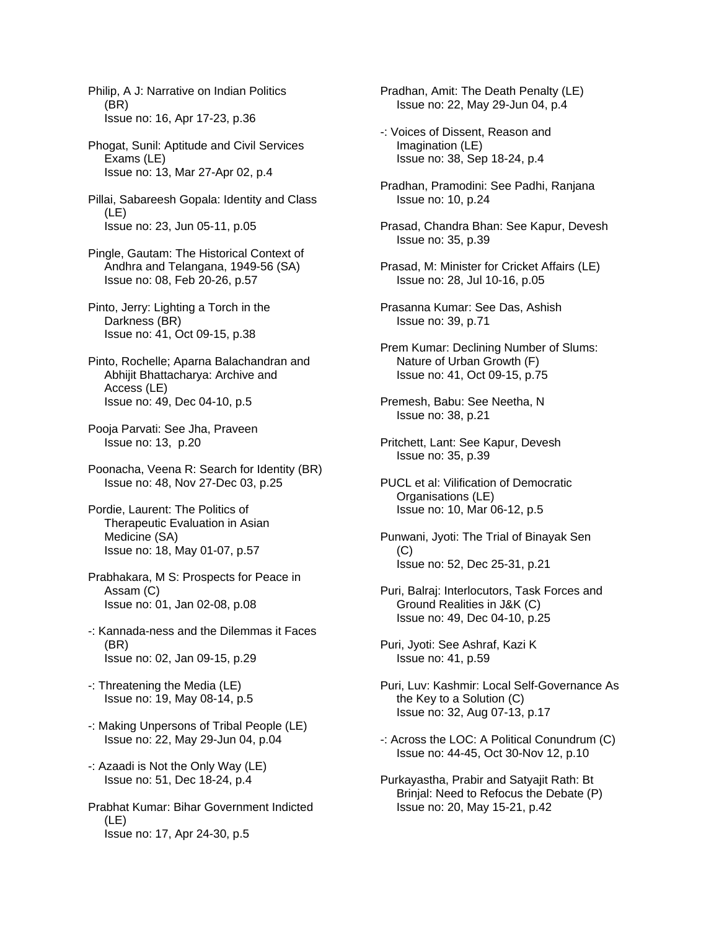Philip, A J: Narrative on Indian Politics (BR) Issue no: 16, Apr 17-23, p.36

- Phogat, Sunil: Aptitude and Civil Services Exams (LE) Issue no: 13, Mar 27-Apr 02, p.4
- Pillai, Sabareesh Gopala: Identity and Class (LE) Issue no: 23, Jun 05-11, p.05
- Pingle, Gautam: The Historical Context of Andhra and Telangana, 1949-56 (SA) Issue no: 08, Feb 20-26, p.57
- Pinto, Jerry: Lighting a Torch in the Darkness (BR) Issue no: 41, Oct 09-15, p.38
- Pinto, Rochelle; Aparna Balachandran and Abhijit Bhattacharya: Archive and Access (LE) Issue no: 49, Dec 04-10, p.5
- Pooja Parvati: See Jha, Praveen Issue no: 13, p.20
- Poonacha, Veena R: Search for Identity (BR) Issue no: 48, Nov 27-Dec 03, p.25
- Pordie, Laurent: The Politics of Therapeutic Evaluation in Asian Medicine (SA) Issue no: 18, May 01-07, p.57
- Prabhakara, M S: Prospects for Peace in Assam (C) Issue no: 01, Jan 02-08, p.08
- -: Kannada-ness and the Dilemmas it Faces (BR) Issue no: 02, Jan 09-15, p.29
- -: Threatening the Media (LE) Issue no: 19, May 08-14, p.5
- -: Making Unpersons of Tribal People (LE) Issue no: 22, May 29-Jun 04, p.04
- -: Azaadi is Not the Only Way (LE) Issue no: 51, Dec 18-24, p.4
- Prabhat Kumar: Bihar Government Indicted (LE) Issue no: 17, Apr 24-30, p.5
- Pradhan, Amit: The Death Penalty (LE) Issue no: 22, May 29-Jun 04, p.4
- -: Voices of Dissent, Reason and Imagination (LE) Issue no: 38, Sep 18-24, p.4
- Pradhan, Pramodini: See Padhi, Ranjana Issue no: 10, p.24
- Prasad, Chandra Bhan: See Kapur, Devesh Issue no: 35, p.39
- Prasad, M: Minister for Cricket Affairs (LE) Issue no: 28, Jul 10-16, p.05
- Prasanna Kumar: See Das, Ashish Issue no: 39, p.71
- Prem Kumar: Declining Number of Slums: Nature of Urban Growth (F) Issue no: 41, Oct 09-15, p.75
- Premesh, Babu: See Neetha, N Issue no: 38, p.21
- Pritchett, Lant: See Kapur, Devesh Issue no: 35, p.39
- PUCL et al: Vilification of Democratic Organisations (LE) Issue no: 10, Mar 06-12, p.5
- Punwani, Jyoti: The Trial of Binayak Sen  $(C)$ Issue no: 52, Dec 25-31, p.21
- Puri, Balraj: Interlocutors, Task Forces and Ground Realities in J&K (C) Issue no: 49, Dec 04-10, p.25
- Puri, Jyoti: See Ashraf, Kazi K Issue no: 41, p.59
- Puri, Luv: Kashmir: Local Self-Governance As the Key to a Solution (C) Issue no: 32, Aug 07-13, p.17
- -: Across the LOC: A Political Conundrum (C) Issue no: 44-45, Oct 30-Nov 12, p.10
- Purkayastha, Prabir and Satyajit Rath: Bt Brinjal: Need to Refocus the Debate (P) Issue no: 20, May 15-21, p.42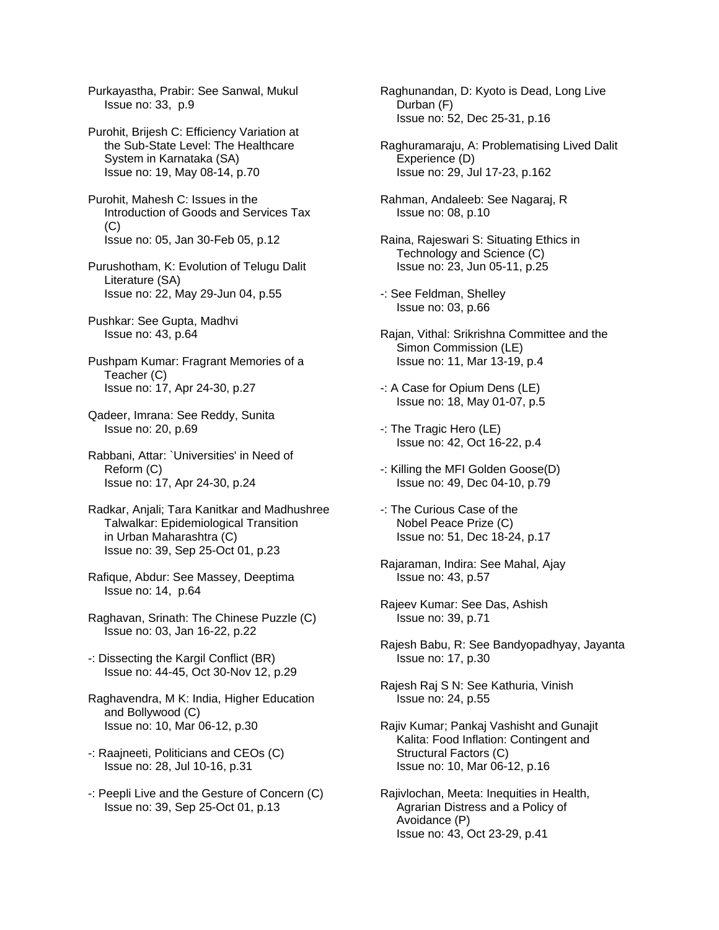Purkayastha, Prabir: See Sanwal, Mukul Issue no: 33, p.9

Purohit, Brijesh C: Efficiency Variation at the Sub-State Level: The Healthcare System in Karnataka (SA) Issue no: 19, May 08-14, p.70

Purohit, Mahesh C: Issues in the Introduction of Goods and Services Tax (C) Issue no: 05, Jan 30-Feb 05, p.12

Purushotham, K: Evolution of Telugu Dalit Literature (SA) Issue no: 22, May 29-Jun 04, p.55

Pushkar: See Gupta, Madhvi Issue no: 43, p.64

Pushpam Kumar: Fragrant Memories of a Teacher (C) Issue no: 17, Apr 24-30, p.27

Qadeer, Imrana: See Reddy, Sunita Issue no: 20, p.69

Rabbani, Attar: `Universities' in Need of Reform (C) Issue no: 17, Apr 24-30, p.24

Radkar, Anjali; Tara Kanitkar and Madhushree Talwalkar: Epidemiological Transition in Urban Maharashtra (C) Issue no: 39, Sep 25-Oct 01, p.23

Rafique, Abdur: See Massey, Deeptima Issue no: 14, p.64

Raghavan, Srinath: The Chinese Puzzle (C) Issue no: 03, Jan 16-22, p.22

- -: Dissecting the Kargil Conflict (BR) Issue no: 44-45, Oct 30-Nov 12, p.29
- Raghavendra, M K: India, Higher Education and Bollywood (C) Issue no: 10, Mar 06-12, p.30
- -: Raajneeti, Politicians and CEOs (C) Issue no: 28, Jul 10-16, p.31
- -: Peepli Live and the Gesture of Concern (C) Issue no: 39, Sep 25-Oct 01, p.13

Raghunandan, D: Kyoto is Dead, Long Live Durban (F) Issue no: 52, Dec 25-31, p.16

Raghuramaraju, A: Problematising Lived Dalit Experience (D) Issue no: 29, Jul 17-23, p.162

Rahman, Andaleeb: See Nagaraj, R Issue no: 08, p.10

Raina, Rajeswari S: Situating Ethics in Technology and Science (C) Issue no: 23, Jun 05-11, p.25

-: See Feldman, Shelley Issue no: 03, p.66

- Rajan, Vithal: Srikrishna Committee and the Simon Commission (LE) Issue no: 11, Mar 13-19, p.4
- -: A Case for Opium Dens (LE) Issue no: 18, May 01-07, p.5
- -: The Tragic Hero (LE) Issue no: 42, Oct 16-22, p.4
- -: Killing the MFI Golden Goose(D) Issue no: 49, Dec 04-10, p.79
- -: The Curious Case of the Nobel Peace Prize (C) Issue no: 51, Dec 18-24, p.17
- Rajaraman, Indira: See Mahal, Ajay Issue no: 43, p.57
- Rajeev Kumar: See Das, Ashish Issue no: 39, p.71
- Rajesh Babu, R: See Bandyopadhyay, Jayanta Issue no: 17, p.30
- Rajesh Raj S N: See Kathuria, Vinish Issue no: 24, p.55
- Rajiv Kumar; Pankaj Vashisht and Gunajit Kalita: Food Inflation: Contingent and Structural Factors (C) Issue no: 10, Mar 06-12, p.16
- Rajivlochan, Meeta: Inequities in Health, Agrarian Distress and a Policy of Avoidance (P) Issue no: 43, Oct 23-29, p.41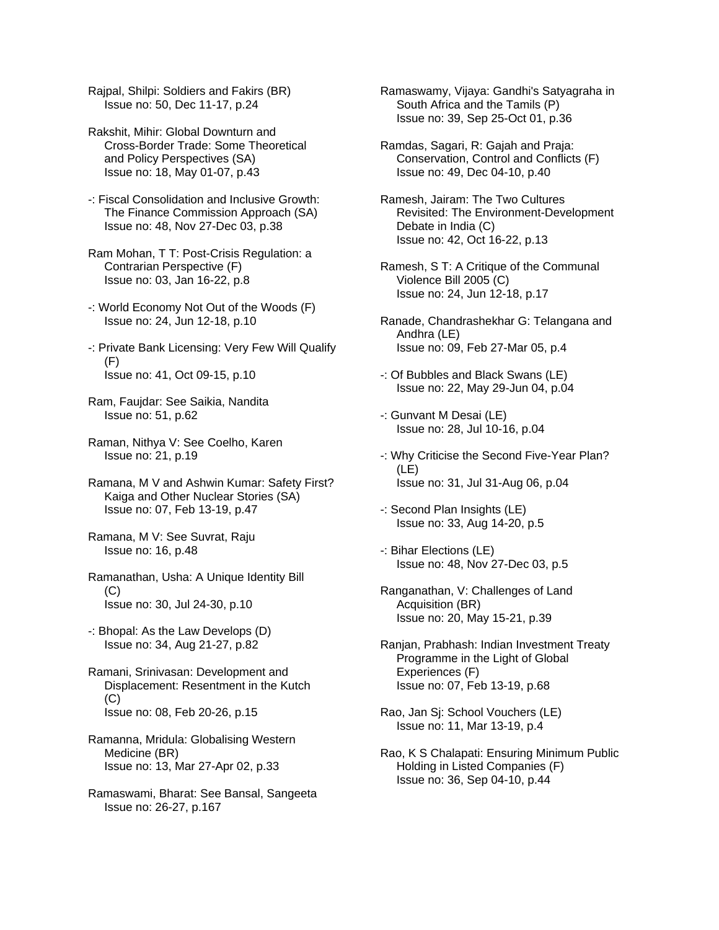Rajpal, Shilpi: Soldiers and Fakirs (BR) Issue no: 50, Dec 11-17, p.24

Rakshit, Mihir: Global Downturn and Cross-Border Trade: Some Theoretical and Policy Perspectives (SA) Issue no: 18, May 01-07, p.43

-: Fiscal Consolidation and Inclusive Growth: The Finance Commission Approach (SA) Issue no: 48, Nov 27-Dec 03, p.38

Ram Mohan, T T: Post-Crisis Regulation: a Contrarian Perspective (F) Issue no: 03, Jan 16-22, p.8

-: World Economy Not Out of the Woods (F) Issue no: 24, Jun 12-18, p.10

-: Private Bank Licensing: Very Few Will Qualify (F) Issue no: 41, Oct 09-15, p.10

Ram, Faujdar: See Saikia, Nandita Issue no: 51, p.62

Raman, Nithya V: See Coelho, Karen Issue no: 21, p.19

Ramana, M V and Ashwin Kumar: Safety First? Kaiga and Other Nuclear Stories (SA) Issue no: 07, Feb 13-19, p.47

Ramana, M V: See Suvrat, Raju Issue no: 16, p.48

Ramanathan, Usha: A Unique Identity Bill  $(C)$ Issue no: 30, Jul 24-30, p.10

-: Bhopal: As the Law Develops (D) Issue no: 34, Aug 21-27, p.82

Ramani, Srinivasan: Development and Displacement: Resentment in the Kutch (C) Issue no: 08, Feb 20-26, p.15

Ramanna, Mridula: Globalising Western Medicine (BR) Issue no: 13, Mar 27-Apr 02, p.33

Ramaswami, Bharat: See Bansal, Sangeeta Issue no: 26-27, p.167

Ramaswamy, Vijaya: Gandhi's Satyagraha in South Africa and the Tamils (P) Issue no: 39, Sep 25-Oct 01, p.36

Ramdas, Sagari, R: Gajah and Praja: Conservation, Control and Conflicts (F) Issue no: 49, Dec 04-10, p.40

Ramesh, Jairam: The Two Cultures Revisited: The Environment-Development Debate in India (C) Issue no: 42, Oct 16-22, p.13

Ramesh, S T: A Critique of the Communal Violence Bill 2005 (C) Issue no: 24, Jun 12-18, p.17

Ranade, Chandrashekhar G: Telangana and Andhra (LE) Issue no: 09, Feb 27-Mar 05, p.4

-: Of Bubbles and Black Swans (LE) Issue no: 22, May 29-Jun 04, p.04

-: Gunvant M Desai (LE) Issue no: 28, Jul 10-16, p.04

-: Why Criticise the Second Five-Year Plan? (LE) Issue no: 31, Jul 31-Aug 06, p.04

-: Second Plan Insights (LE) Issue no: 33, Aug 14-20, p.5

-: Bihar Elections (LE) Issue no: 48, Nov 27-Dec 03, p.5

Ranganathan, V: Challenges of Land Acquisition (BR) Issue no: 20, May 15-21, p.39

Ranjan, Prabhash: Indian Investment Treaty Programme in the Light of Global Experiences (F) Issue no: 07, Feb 13-19, p.68

Rao, Jan Sj: School Vouchers (LE) Issue no: 11, Mar 13-19, p.4

Rao, K S Chalapati: Ensuring Minimum Public Holding in Listed Companies (F) Issue no: 36, Sep 04-10, p.44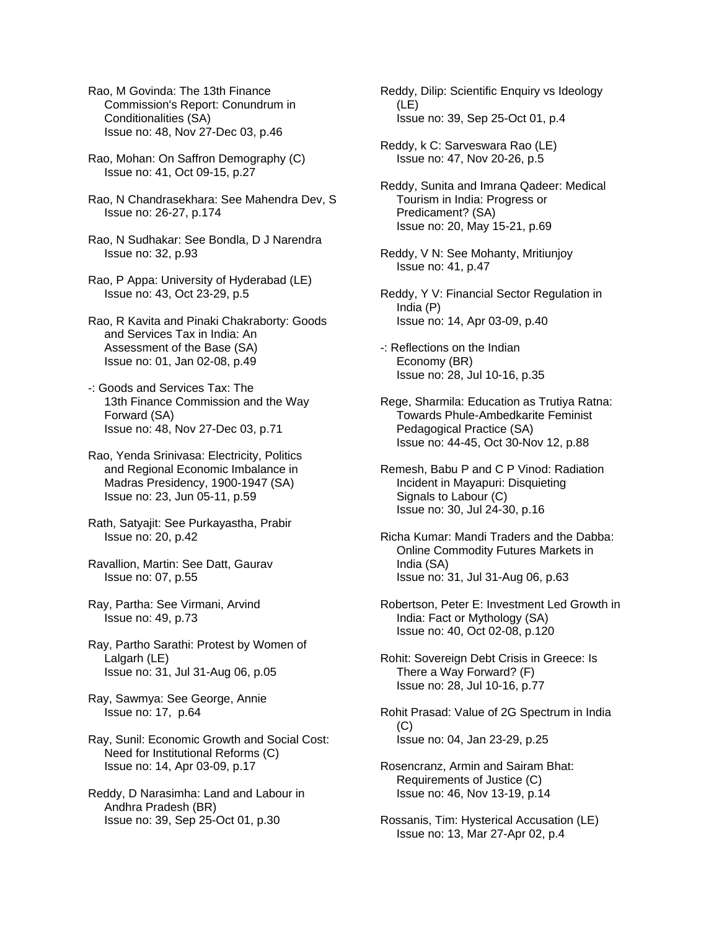Rao, M Govinda: The 13th Finance Commission's Report: Conundrum in Conditionalities (SA) Issue no: 48, Nov 27-Dec 03, p.46

- Rao, Mohan: On Saffron Demography (C) Issue no: 41, Oct 09-15, p.27
- Rao, N Chandrasekhara: See Mahendra Dev, S Issue no: 26-27, p.174
- Rao, N Sudhakar: See Bondla, D J Narendra Issue no: 32, p.93
- Rao, P Appa: University of Hyderabad (LE) Issue no: 43, Oct 23-29, p.5
- Rao, R Kavita and Pinaki Chakraborty: Goods and Services Tax in India: An Assessment of the Base (SA) Issue no: 01, Jan 02-08, p.49
- -: Goods and Services Tax: The 13th Finance Commission and the Way Forward (SA) Issue no: 48, Nov 27-Dec 03, p.71
- Rao, Yenda Srinivasa: Electricity, Politics and Regional Economic Imbalance in Madras Presidency, 1900-1947 (SA) Issue no: 23, Jun 05-11, p.59
- Rath, Satyajit: See Purkayastha, Prabir Issue no: 20, p.42
- Ravallion, Martin: See Datt, Gaurav Issue no: 07, p.55
- Ray, Partha: See Virmani, Arvind Issue no: 49, p.73
- Ray, Partho Sarathi: Protest by Women of Lalgarh (LE) Issue no: 31, Jul 31-Aug 06, p.05
- Ray, Sawmya: See George, Annie Issue no: 17, p.64
- Ray, Sunil: Economic Growth and Social Cost: Need for Institutional Reforms (C) Issue no: 14, Apr 03-09, p.17
- Reddy, D Narasimha: Land and Labour in Andhra Pradesh (BR) Issue no: 39, Sep 25-Oct 01, p.30

Reddy, Dilip: Scientific Enquiry vs Ideology (LE) Issue no: 39, Sep 25-Oct 01, p.4

- Reddy, k C: Sarveswara Rao (LE) Issue no: 47, Nov 20-26, p.5
- Reddy, Sunita and Imrana Qadeer: Medical Tourism in India: Progress or Predicament? (SA) Issue no: 20, May 15-21, p.69
- Reddy, V N: See Mohanty, Mritiunjoy Issue no: 41, p.47
- Reddy, Y V: Financial Sector Regulation in India (P) Issue no: 14, Apr 03-09, p.40
- -: Reflections on the Indian Economy (BR) Issue no: 28, Jul 10-16, p.35
- Rege, Sharmila: Education as Trutiya Ratna: Towards Phule-Ambedkarite Feminist Pedagogical Practice (SA) Issue no: 44-45, Oct 30-Nov 12, p.88
- Remesh, Babu P and C P Vinod: Radiation Incident in Mayapuri: Disquieting Signals to Labour (C) Issue no: 30, Jul 24-30, p.16
- Richa Kumar: Mandi Traders and the Dabba: Online Commodity Futures Markets in India (SA) Issue no: 31, Jul 31-Aug 06, p.63
- Robertson, Peter E: Investment Led Growth in India: Fact or Mythology (SA) Issue no: 40, Oct 02-08, p.120
- Rohit: Sovereign Debt Crisis in Greece: Is There a Way Forward? (F) Issue no: 28, Jul 10-16, p.77
- Rohit Prasad: Value of 2G Spectrum in India  $(C)$ Issue no: 04, Jan 23-29, p.25
- Rosencranz, Armin and Sairam Bhat: Requirements of Justice (C) Issue no: 46, Nov 13-19, p.14
- Rossanis, Tim: Hysterical Accusation (LE) Issue no: 13, Mar 27-Apr 02, p.4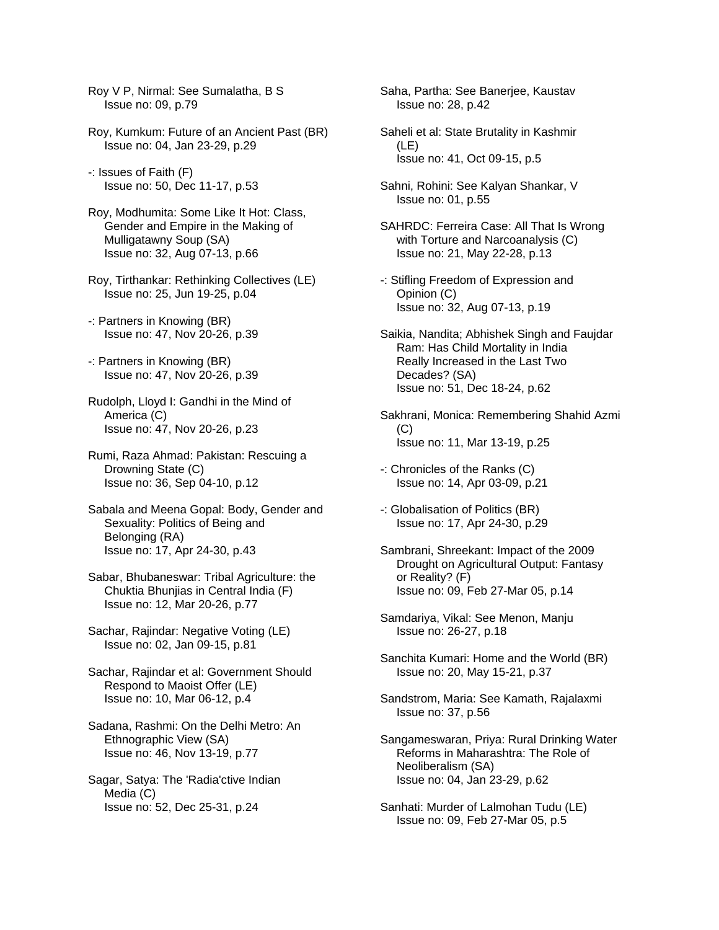Roy V P, Nirmal: See Sumalatha, B S Issue no: 09, p.79

Roy, Kumkum: Future of an Ancient Past (BR) Issue no: 04, Jan 23-29, p.29

-: Issues of Faith (F) Issue no: 50, Dec 11-17, p.53

- Roy, Modhumita: Some Like It Hot: Class, Gender and Empire in the Making of Mulligatawny Soup (SA) Issue no: 32, Aug 07-13, p.66
- Roy, Tirthankar: Rethinking Collectives (LE) Issue no: 25, Jun 19-25, p.04
- -: Partners in Knowing (BR) Issue no: 47, Nov 20-26, p.39
- -: Partners in Knowing (BR) Issue no: 47, Nov 20-26, p.39
- Rudolph, Lloyd I: Gandhi in the Mind of America (C) Issue no: 47, Nov 20-26, p.23
- Rumi, Raza Ahmad: Pakistan: Rescuing a Drowning State (C) Issue no: 36, Sep 04-10, p.12
- Sabala and Meena Gopal: Body, Gender and Sexuality: Politics of Being and Belonging (RA) Issue no: 17, Apr 24-30, p.43
- Sabar, Bhubaneswar: Tribal Agriculture: the Chuktia Bhunjias in Central India (F) Issue no: 12, Mar 20-26, p.77
- Sachar, Rajindar: Negative Voting (LE) Issue no: 02, Jan 09-15, p.81
- Sachar, Rajindar et al: Government Should Respond to Maoist Offer (LE) Issue no: 10, Mar 06-12, p.4
- Sadana, Rashmi: On the Delhi Metro: An Ethnographic View (SA) Issue no: 46, Nov 13-19, p.77
- Sagar, Satya: The 'Radia'ctive Indian Media (C) Issue no: 52, Dec 25-31, p.24

Saha, Partha: See Banerjee, Kaustav Issue no: 28, p.42

- Saheli et al: State Brutality in Kashmir (LE) Issue no: 41, Oct 09-15, p.5
- Sahni, Rohini: See Kalyan Shankar, V Issue no: 01, p.55
- SAHRDC: Ferreira Case: All That Is Wrong with Torture and Narcoanalysis (C) Issue no: 21, May 22-28, p.13
- -: Stifling Freedom of Expression and Opinion (C) Issue no: 32, Aug 07-13, p.19
- Saikia, Nandita; Abhishek Singh and Faujdar Ram: Has Child Mortality in India Really Increased in the Last Two Decades? (SA) Issue no: 51, Dec 18-24, p.62
- Sakhrani, Monica: Remembering Shahid Azmi  $(C)$ Issue no: 11, Mar 13-19, p.25
- -: Chronicles of the Ranks (C) Issue no: 14, Apr 03-09, p.21
- -: Globalisation of Politics (BR) Issue no: 17, Apr 24-30, p.29
- Sambrani, Shreekant: Impact of the 2009 Drought on Agricultural Output: Fantasy or Reality? (F) Issue no: 09, Feb 27-Mar 05, p.14
- Samdariya, Vikal: See Menon, Manju Issue no: 26-27, p.18
- Sanchita Kumari: Home and the World (BR) Issue no: 20, May 15-21, p.37
- Sandstrom, Maria: See Kamath, Rajalaxmi Issue no: 37, p.56
- Sangameswaran, Priya: Rural Drinking Water Reforms in Maharashtra: The Role of Neoliberalism (SA) Issue no: 04, Jan 23-29, p.62
- Sanhati: Murder of Lalmohan Tudu (LE) Issue no: 09, Feb 27-Mar 05, p.5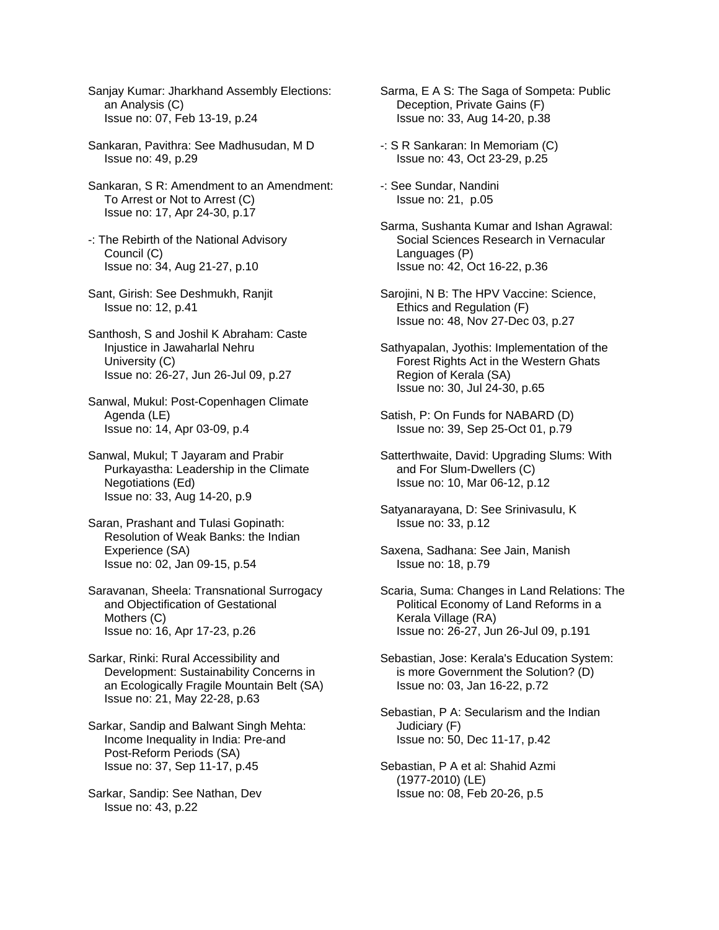Sanjay Kumar: Jharkhand Assembly Elections: an Analysis (C) Issue no: 07, Feb 13-19, p.24

- Sankaran, Pavithra: See Madhusudan, M D Issue no: 49, p.29
- Sankaran, S R: Amendment to an Amendment: To Arrest or Not to Arrest (C) Issue no: 17, Apr 24-30, p.17
- -: The Rebirth of the National Advisory Council (C) Issue no: 34, Aug 21-27, p.10
- Sant, Girish: See Deshmukh, Ranjit Issue no: 12, p.41
- Santhosh, S and Joshil K Abraham: Caste Injustice in Jawaharlal Nehru University (C) Issue no: 26-27, Jun 26-Jul 09, p.27
- Sanwal, Mukul: Post-Copenhagen Climate Agenda (LE) Issue no: 14, Apr 03-09, p.4
- Sanwal, Mukul; T Jayaram and Prabir Purkayastha: Leadership in the Climate Negotiations (Ed) Issue no: 33, Aug 14-20, p.9
- Saran, Prashant and Tulasi Gopinath: Resolution of Weak Banks: the Indian Experience (SA) Issue no: 02, Jan 09-15, p.54
- Saravanan, Sheela: Transnational Surrogacy and Objectification of Gestational Mothers (C) Issue no: 16, Apr 17-23, p.26
- Sarkar, Rinki: Rural Accessibility and Development: Sustainability Concerns in an Ecologically Fragile Mountain Belt (SA) Issue no: 21, May 22-28, p.63
- Sarkar, Sandip and Balwant Singh Mehta: Income Inequality in India: Pre-and Post-Reform Periods (SA) Issue no: 37, Sep 11-17, p.45
- Sarkar, Sandip: See Nathan, Dev Issue no: 43, p.22
- Sarma, E A S: The Saga of Sompeta: Public Deception, Private Gains (F) Issue no: 33, Aug 14-20, p.38
- -: S R Sankaran: In Memoriam (C) Issue no: 43, Oct 23-29, p.25
- -: See Sundar, Nandini Issue no: 21, p.05
- Sarma, Sushanta Kumar and Ishan Agrawal: Social Sciences Research in Vernacular Languages (P) Issue no: 42, Oct 16-22, p.36
- Sarojini, N B: The HPV Vaccine: Science, Ethics and Regulation (F) Issue no: 48, Nov 27-Dec 03, p.27
- Sathyapalan, Jyothis: Implementation of the Forest Rights Act in the Western Ghats Region of Kerala (SA) Issue no: 30, Jul 24-30, p.65
- Satish, P: On Funds for NABARD (D) Issue no: 39, Sep 25-Oct 01, p.79
- Satterthwaite, David: Upgrading Slums: With and For Slum-Dwellers (C) Issue no: 10, Mar 06-12, p.12
- Satyanarayana, D: See Srinivasulu, K Issue no: 33, p.12
- Saxena, Sadhana: See Jain, Manish Issue no: 18, p.79
- Scaria, Suma: Changes in Land Relations: The Political Economy of Land Reforms in a Kerala Village (RA) Issue no: 26-27, Jun 26-Jul 09, p.191
- Sebastian, Jose: Kerala's Education System: is more Government the Solution? (D) Issue no: 03, Jan 16-22, p.72
- Sebastian, P A: Secularism and the Indian Judiciary (F) Issue no: 50, Dec 11-17, p.42
- Sebastian, P A et al: Shahid Azmi (1977-2010) (LE) Issue no: 08, Feb 20-26, p.5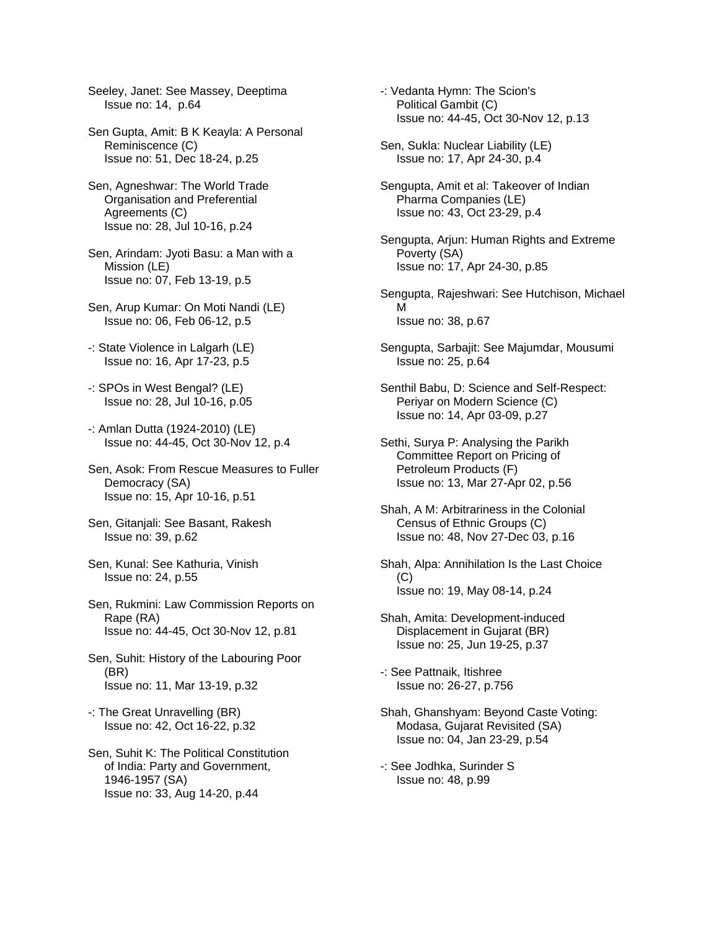Seeley, Janet: See Massey, Deeptima Issue no: 14, p.64

Sen Gupta, Amit: B K Keayla: A Personal Reminiscence (C) Issue no: 51, Dec 18-24, p.25

- Sen, Agneshwar: The World Trade Organisation and Preferential Agreements (C) Issue no: 28, Jul 10-16, p.24
- Sen, Arindam: Jyoti Basu: a Man with a Mission (LE) Issue no: 07, Feb 13-19, p.5
- Sen, Arup Kumar: On Moti Nandi (LE) Issue no: 06, Feb 06-12, p.5
- -: State Violence in Lalgarh (LE) Issue no: 16, Apr 17-23, p.5
- -: SPOs in West Bengal? (LE) Issue no: 28, Jul 10-16, p.05
- -: Amlan Dutta (1924-2010) (LE) Issue no: 44-45, Oct 30-Nov 12, p.4
- Sen, Asok: From Rescue Measures to Fuller Democracy (SA) Issue no: 15, Apr 10-16, p.51
- Sen, Gitanjali: See Basant, Rakesh Issue no: 39, p.62
- Sen, Kunal: See Kathuria, Vinish Issue no: 24, p.55
- Sen, Rukmini: Law Commission Reports on Rape (RA) Issue no: 44-45, Oct 30-Nov 12, p.81
- Sen, Suhit: History of the Labouring Poor (BR) Issue no: 11, Mar 13-19, p.32
- -: The Great Unravelling (BR) Issue no: 42, Oct 16-22, p.32
- Sen, Suhit K: The Political Constitution of India: Party and Government, 1946-1957 (SA) Issue no: 33, Aug 14-20, p.44
- -: Vedanta Hymn: The Scion's Political Gambit (C) Issue no: 44-45, Oct 30-Nov 12, p.13
- Sen, Sukla: Nuclear Liability (LE) Issue no: 17, Apr 24-30, p.4
- Sengupta, Amit et al: Takeover of Indian Pharma Companies (LE) Issue no: 43, Oct 23-29, p.4
- Sengupta, Arjun: Human Rights and Extreme Poverty (SA) Issue no: 17, Apr 24-30, p.85
- Sengupta, Rajeshwari: See Hutchison, Michael M Issue no: 38, p.67
- Sengupta, Sarbajit: See Majumdar, Mousumi Issue no: 25, p.64
- Senthil Babu, D: Science and Self-Respect: Periyar on Modern Science (C) Issue no: 14, Apr 03-09, p.27
- Sethi, Surya P: Analysing the Parikh Committee Report on Pricing of Petroleum Products (F) Issue no: 13, Mar 27-Apr 02, p.56
- Shah, A M: Arbitrariness in the Colonial Census of Ethnic Groups (C) Issue no: 48, Nov 27-Dec 03, p.16
- Shah, Alpa: Annihilation Is the Last Choice  $(C)$ Issue no: 19, May 08-14, p.24
- Shah, Amita: Development-induced Displacement in Gujarat (BR) Issue no: 25, Jun 19-25, p.37
- -: See Pattnaik, Itishree Issue no: 26-27, p.756
- Shah, Ghanshyam: Beyond Caste Voting: Modasa, Gujarat Revisited (SA) Issue no: 04, Jan 23-29, p.54
- -: See Jodhka, Surinder S Issue no: 48, p.99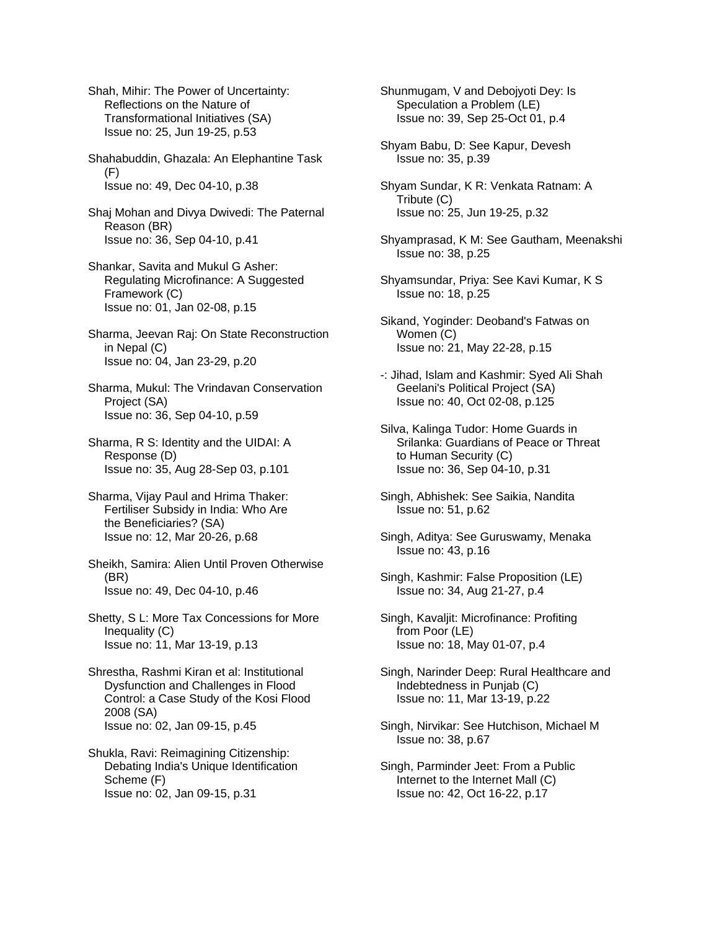Shah, Mihir: The Power of Uncertainty: Reflections on the Nature of Transformational Initiatives (SA) Issue no: 25, Jun 19-25, p.53

Shahabuddin, Ghazala: An Elephantine Task (F) Issue no: 49, Dec 04-10, p.38

Shaj Mohan and Divya Dwivedi: The Paternal Reason (BR) Issue no: 36, Sep 04-10, p.41

Shankar, Savita and Mukul G Asher: Regulating Microfinance: A Suggested Framework (C) Issue no: 01, Jan 02-08, p.15

Sharma, Jeevan Raj: On State Reconstruction in Nepal (C) Issue no: 04, Jan 23-29, p.20

Sharma, Mukul: The Vrindavan Conservation Project (SA) Issue no: 36, Sep 04-10, p.59

- Sharma, R S: Identity and the UIDAI: A Response (D) Issue no: 35, Aug 28-Sep 03, p.101
- Sharma, Vijay Paul and Hrima Thaker: Fertiliser Subsidy in India: Who Are the Beneficiaries? (SA) Issue no: 12, Mar 20-26, p.68

Sheikh, Samira: Alien Until Proven Otherwise (BR) Issue no: 49, Dec 04-10, p.46

Shetty, S L: More Tax Concessions for More Inequality (C) Issue no: 11, Mar 13-19, p.13

Shrestha, Rashmi Kiran et al: Institutional Dysfunction and Challenges in Flood Control: a Case Study of the Kosi Flood 2008 (SA) Issue no: 02, Jan 09-15, p.45

Shukla, Ravi: Reimagining Citizenship: Debating India's Unique Identification Scheme (F) Issue no: 02, Jan 09-15, p.31

Shunmugam, V and Debojyoti Dey: Is Speculation a Problem (LE) Issue no: 39, Sep 25-Oct 01, p.4

Shyam Babu, D: See Kapur, Devesh Issue no: 35, p.39

Shyam Sundar, K R: Venkata Ratnam: A Tribute (C) Issue no: 25, Jun 19-25, p.32

Shyamprasad, K M: See Gautham, Meenakshi Issue no: 38, p.25

Shyamsundar, Priya: See Kavi Kumar, K S Issue no: 18, p.25

Sikand, Yoginder: Deoband's Fatwas on Women (C) Issue no: 21, May 22-28, p.15

-: Jihad, Islam and Kashmir: Syed Ali Shah Geelani's Political Project (SA) Issue no: 40, Oct 02-08, p.125

Silva, Kalinga Tudor: Home Guards in Srilanka: Guardians of Peace or Threat to Human Security (C) Issue no: 36, Sep 04-10, p.31

Singh, Abhishek: See Saikia, Nandita Issue no: 51, p.62

Singh, Aditya: See Guruswamy, Menaka Issue no: 43, p.16

Singh, Kashmir: False Proposition (LE) Issue no: 34, Aug 21-27, p.4

Singh, Kavaljit: Microfinance: Profiting from Poor (LE) Issue no: 18, May 01-07, p.4

Singh, Narinder Deep: Rural Healthcare and Indebtedness in Punjab (C) Issue no: 11, Mar 13-19, p.22

Singh, Nirvikar: See Hutchison, Michael M Issue no: 38, p.67

Singh, Parminder Jeet: From a Public Internet to the Internet Mall (C) Issue no: 42, Oct 16-22, p.17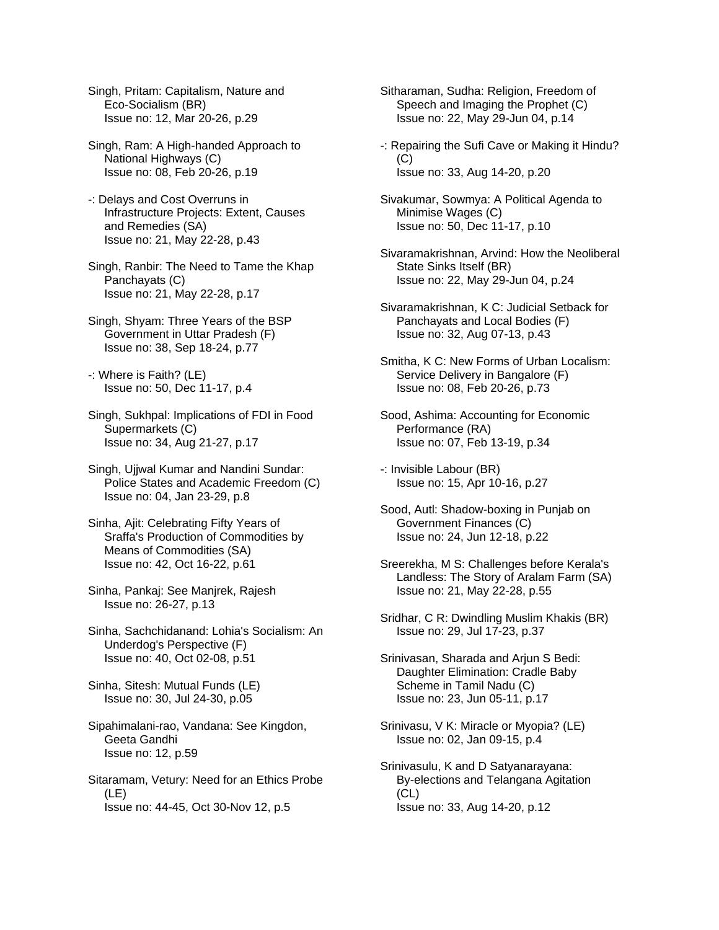Singh, Pritam: Capitalism, Nature and Eco-Socialism (BR) Issue no: 12, Mar 20-26, p.29

Singh, Ram: A High-handed Approach to National Highways (C) Issue no: 08, Feb 20-26, p.19

-: Delays and Cost Overruns in Infrastructure Projects: Extent, Causes and Remedies (SA) Issue no: 21, May 22-28, p.43

Singh, Ranbir: The Need to Tame the Khap Panchayats (C) Issue no: 21, May 22-28, p.17

Singh, Shyam: Three Years of the BSP Government in Uttar Pradesh (F) Issue no: 38, Sep 18-24, p.77

-: Where is Faith? (LE) Issue no: 50, Dec 11-17, p.4

Singh, Sukhpal: Implications of FDI in Food Supermarkets (C) Issue no: 34, Aug 21-27, p.17

Singh, Ujjwal Kumar and Nandini Sundar: Police States and Academic Freedom (C) Issue no: 04, Jan 23-29, p.8

Sinha, Ajit: Celebrating Fifty Years of Sraffa's Production of Commodities by Means of Commodities (SA) Issue no: 42, Oct 16-22, p.61

Sinha, Pankaj: See Manjrek, Rajesh Issue no: 26-27, p.13

Sinha, Sachchidanand: Lohia's Socialism: An Underdog's Perspective (F) Issue no: 40, Oct 02-08, p.51

Sinha, Sitesh: Mutual Funds (LE) Issue no: 30, Jul 24-30, p.05

Sipahimalani-rao, Vandana: See Kingdon, Geeta Gandhi Issue no: 12, p.59

Sitaramam, Vetury: Need for an Ethics Probe (LE) Issue no: 44-45, Oct 30-Nov 12, p.5

Sitharaman, Sudha: Religion, Freedom of Speech and Imaging the Prophet (C) Issue no: 22, May 29-Jun 04, p.14

-: Repairing the Sufi Cave or Making it Hindu?  $(C)$ Issue no: 33, Aug 14-20, p.20

Sivakumar, Sowmya: A Political Agenda to Minimise Wages (C) Issue no: 50, Dec 11-17, p.10

Sivaramakrishnan, Arvind: How the Neoliberal State Sinks Itself (BR) Issue no: 22, May 29-Jun 04, p.24

Sivaramakrishnan, K C: Judicial Setback for Panchayats and Local Bodies (F) Issue no: 32, Aug 07-13, p.43

Smitha, K C: New Forms of Urban Localism: Service Delivery in Bangalore (F) Issue no: 08, Feb 20-26, p.73

Sood, Ashima: Accounting for Economic Performance (RA) Issue no: 07, Feb 13-19, p.34

-: Invisible Labour (BR) Issue no: 15, Apr 10-16, p.27

- Sood, Autl: Shadow-boxing in Punjab on Government Finances (C) Issue no: 24, Jun 12-18, p.22
- Sreerekha, M S: Challenges before Kerala's Landless: The Story of Aralam Farm (SA) Issue no: 21, May 22-28, p.55

Sridhar, C R: Dwindling Muslim Khakis (BR) Issue no: 29, Jul 17-23, p.37

Srinivasan, Sharada and Arjun S Bedi: Daughter Elimination: Cradle Baby Scheme in Tamil Nadu (C) Issue no: 23, Jun 05-11, p.17

- Srinivasu, V K: Miracle or Myopia? (LE) Issue no: 02, Jan 09-15, p.4
- Srinivasulu, K and D Satyanarayana: By-elections and Telangana Agitation (CL) Issue no: 33, Aug 14-20, p.12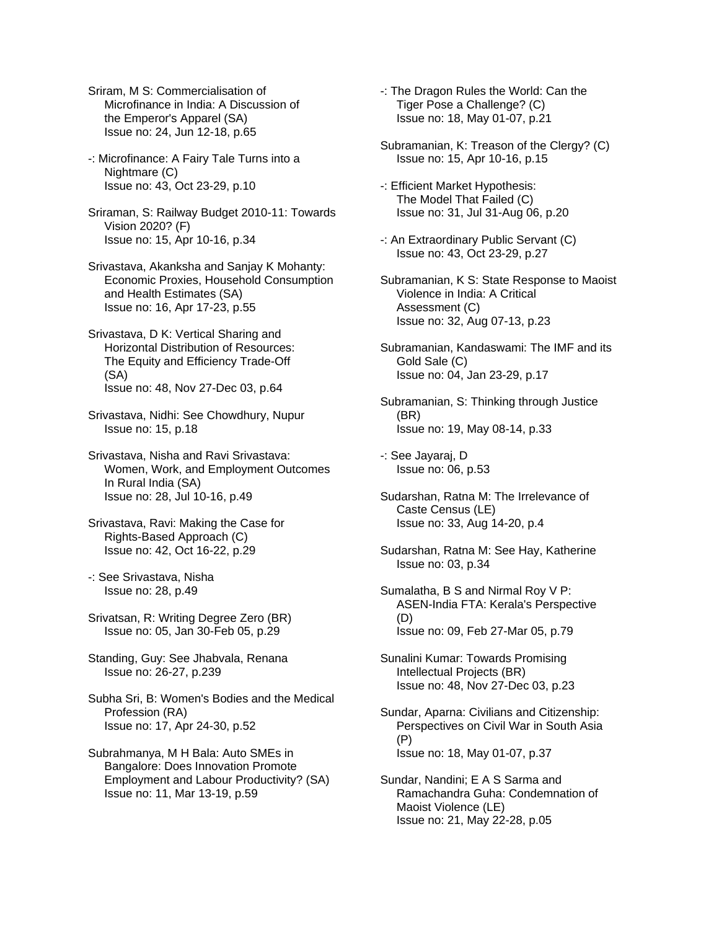Sriram, M S: Commercialisation of Microfinance in India: A Discussion of the Emperor's Apparel (SA) Issue no: 24, Jun 12-18, p.65

-: Microfinance: A Fairy Tale Turns into a Nightmare (C) Issue no: 43, Oct 23-29, p.10

Sriraman, S: Railway Budget 2010-11: Towards Vision 2020? (F) Issue no: 15, Apr 10-16, p.34

Srivastava, Akanksha and Sanjay K Mohanty: Economic Proxies, Household Consumption and Health Estimates (SA) Issue no: 16, Apr 17-23, p.55

Srivastava, D K: Vertical Sharing and Horizontal Distribution of Resources: The Equity and Efficiency Trade-Off (SA) Issue no: 48, Nov 27-Dec 03, p.64

Srivastava, Nidhi: See Chowdhury, Nupur Issue no: 15, p.18

Srivastava, Nisha and Ravi Srivastava: Women, Work, and Employment Outcomes In Rural India (SA) Issue no: 28, Jul 10-16, p.49

Srivastava, Ravi: Making the Case for Rights-Based Approach (C) Issue no: 42, Oct 16-22, p.29

-: See Srivastava, Nisha Issue no: 28, p.49

Srivatsan, R: Writing Degree Zero (BR) Issue no: 05, Jan 30-Feb 05, p.29

Standing, Guy: See Jhabvala, Renana Issue no: 26-27, p.239

Subha Sri, B: Women's Bodies and the Medical Profession (RA) Issue no: 17, Apr 24-30, p.52

Subrahmanya, M H Bala: Auto SMEs in Bangalore: Does Innovation Promote Employment and Labour Productivity? (SA) Issue no: 11, Mar 13-19, p.59

-: The Dragon Rules the World: Can the Tiger Pose a Challenge? (C) Issue no: 18, May 01-07, p.21

Subramanian, K: Treason of the Clergy? (C) Issue no: 15, Apr 10-16, p.15

-: Efficient Market Hypothesis: The Model That Failed (C) Issue no: 31, Jul 31-Aug 06, p.20

-: An Extraordinary Public Servant (C) Issue no: 43, Oct 23-29, p.27

Subramanian, K S: State Response to Maoist Violence in India: A Critical Assessment (C) Issue no: 32, Aug 07-13, p.23

Subramanian, Kandaswami: The IMF and its Gold Sale (C) Issue no: 04, Jan 23-29, p.17

Subramanian, S: Thinking through Justice (BR) Issue no: 19, May 08-14, p.33

-: See Jayaraj, D Issue no: 06, p.53

Sudarshan, Ratna M: The Irrelevance of Caste Census (LE) Issue no: 33, Aug 14-20, p.4

Sudarshan, Ratna M: See Hay, Katherine Issue no: 03, p.34

Sumalatha, B S and Nirmal Roy V P: ASEN-India FTA: Kerala's Perspective (D) Issue no: 09, Feb 27-Mar 05, p.79

Sunalini Kumar: Towards Promising Intellectual Projects (BR) Issue no: 48, Nov 27-Dec 03, p.23

Sundar, Aparna: Civilians and Citizenship: Perspectives on Civil War in South Asia (P) Issue no: 18, May 01-07, p.37

Sundar, Nandini; E A S Sarma and Ramachandra Guha: Condemnation of Maoist Violence (LE) Issue no: 21, May 22-28, p.05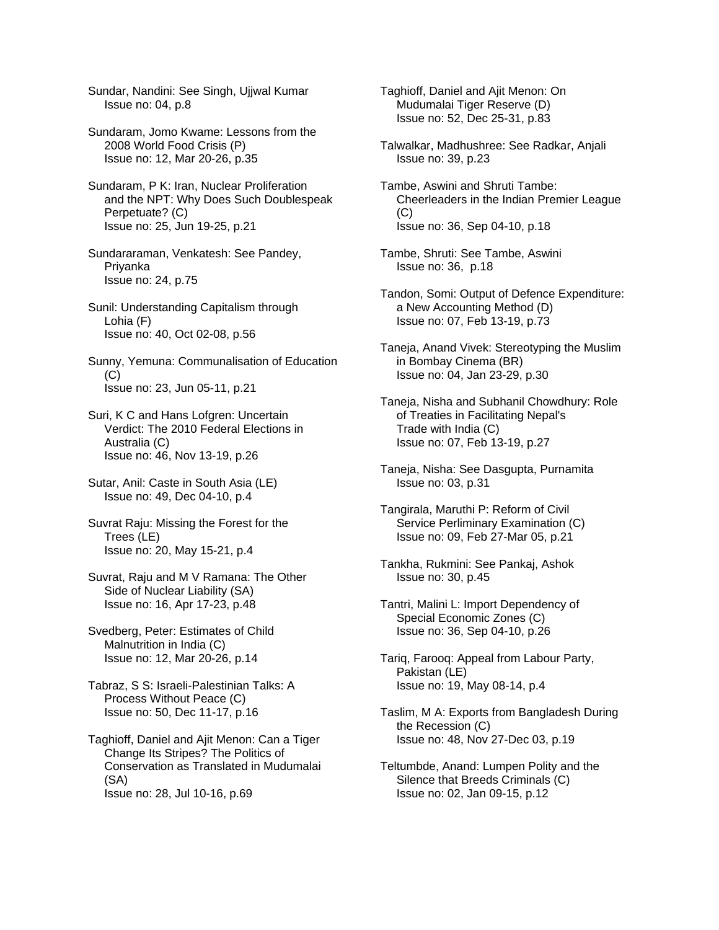Sundar, Nandini: See Singh, Ujjwal Kumar Issue no: 04, p.8

- Sundaram, Jomo Kwame: Lessons from the 2008 World Food Crisis (P) Issue no: 12, Mar 20-26, p.35
- Sundaram, P K: Iran, Nuclear Proliferation and the NPT: Why Does Such Doublespeak Perpetuate? (C) Issue no: 25, Jun 19-25, p.21
- Sundararaman, Venkatesh: See Pandey, Priyanka Issue no: 24, p.75
- Sunil: Understanding Capitalism through Lohia (F) Issue no: 40, Oct 02-08, p.56
- Sunny, Yemuna: Communalisation of Education  $(C)$ Issue no: 23, Jun 05-11, p.21
- Suri, K C and Hans Lofgren: Uncertain Verdict: The 2010 Federal Elections in Australia (C) Issue no: 46, Nov 13-19, p.26
- Sutar, Anil: Caste in South Asia (LE) Issue no: 49, Dec 04-10, p.4
- Suvrat Raju: Missing the Forest for the Trees (LE) Issue no: 20, May 15-21, p.4
- Suvrat, Raju and M V Ramana: The Other Side of Nuclear Liability (SA) Issue no: 16, Apr 17-23, p.48
- Svedberg, Peter: Estimates of Child Malnutrition in India (C) Issue no: 12, Mar 20-26, p.14
- Tabraz, S S: Israeli-Palestinian Talks: A Process Without Peace (C) Issue no: 50, Dec 11-17, p.16
- Taghioff, Daniel and Ajit Menon: Can a Tiger Change Its Stripes? The Politics of Conservation as Translated in Mudumalai (SA) Issue no: 28, Jul 10-16, p.69
- Taghioff, Daniel and Ajit Menon: On Mudumalai Tiger Reserve (D) Issue no: 52, Dec 25-31, p.83
- Talwalkar, Madhushree: See Radkar, Anjali Issue no: 39, p.23
- Tambe, Aswini and Shruti Tambe: Cheerleaders in the Indian Premier League  $(C)$ Issue no: 36, Sep 04-10, p.18
- Tambe, Shruti: See Tambe, Aswini Issue no: 36, p.18
- Tandon, Somi: Output of Defence Expenditure: a New Accounting Method (D) Issue no: 07, Feb 13-19, p.73
- Taneja, Anand Vivek: Stereotyping the Muslim in Bombay Cinema (BR) Issue no: 04, Jan 23-29, p.30
- Taneja, Nisha and Subhanil Chowdhury: Role of Treaties in Facilitating Nepal's Trade with India (C) Issue no: 07, Feb 13-19, p.27
- Taneja, Nisha: See Dasgupta, Purnamita Issue no: 03, p.31
- Tangirala, Maruthi P: Reform of Civil Service Perliminary Examination (C) Issue no: 09, Feb 27-Mar 05, p.21
- Tankha, Rukmini: See Pankaj, Ashok Issue no: 30, p.45
- Tantri, Malini L: Import Dependency of Special Economic Zones (C) Issue no: 36, Sep 04-10, p.26
- Tariq, Farooq: Appeal from Labour Party, Pakistan (LE) Issue no: 19, May 08-14, p.4
- Taslim, M A: Exports from Bangladesh During the Recession (C) Issue no: 48, Nov 27-Dec 03, p.19
- Teltumbde, Anand: Lumpen Polity and the Silence that Breeds Criminals (C) Issue no: 02, Jan 09-15, p.12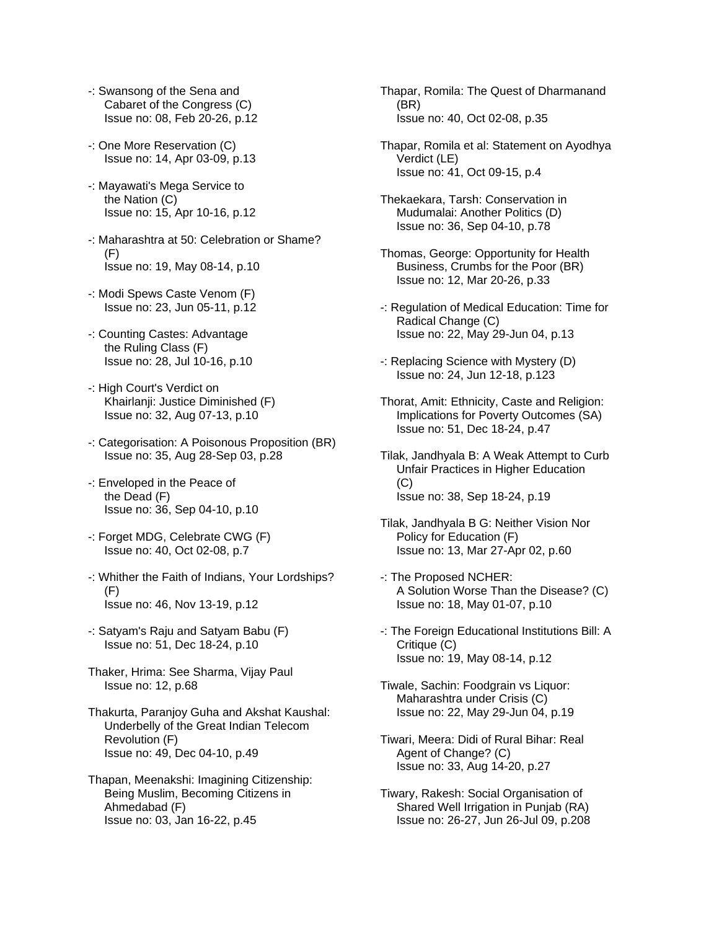- -: Swansong of the Sena and Cabaret of the Congress (C) Issue no: 08, Feb 20-26, p.12
- -: One More Reservation (C) Issue no: 14, Apr 03-09, p.13
- -: Mayawati's Mega Service to the Nation (C) Issue no: 15, Apr 10-16, p.12
- -: Maharashtra at 50: Celebration or Shame?  $(F)$ Issue no: 19, May 08-14, p.10
- -: Modi Spews Caste Venom (F) Issue no: 23, Jun 05-11, p.12
- -: Counting Castes: Advantage the Ruling Class (F) Issue no: 28, Jul 10-16, p.10
- -: High Court's Verdict on Khairlanji: Justice Diminished (F) Issue no: 32, Aug 07-13, p.10
- -: Categorisation: A Poisonous Proposition (BR) Issue no: 35, Aug 28-Sep 03, p.28
- -: Enveloped in the Peace of the Dead (F) Issue no: 36, Sep 04-10, p.10
- -: Forget MDG, Celebrate CWG (F) Issue no: 40, Oct 02-08, p.7
- -: Whither the Faith of Indians, Your Lordships? (F) Issue no: 46, Nov 13-19, p.12
- -: Satyam's Raju and Satyam Babu (F) Issue no: 51, Dec 18-24, p.10
- Thaker, Hrima: See Sharma, Vijay Paul Issue no: 12, p.68
- Thakurta, Paranjoy Guha and Akshat Kaushal: Underbelly of the Great Indian Telecom Revolution (F) Issue no: 49, Dec 04-10, p.49
- Thapan, Meenakshi: Imagining Citizenship: Being Muslim, Becoming Citizens in Ahmedabad (F) Issue no: 03, Jan 16-22, p.45
- Thapar, Romila: The Quest of Dharmanand (BR) Issue no: 40, Oct 02-08, p.35
- Thapar, Romila et al: Statement on Ayodhya Verdict (LE) Issue no: 41, Oct 09-15, p.4
- Thekaekara, Tarsh: Conservation in Mudumalai: Another Politics (D) Issue no: 36, Sep 04-10, p.78
- Thomas, George: Opportunity for Health Business, Crumbs for the Poor (BR) Issue no: 12, Mar 20-26, p.33
- -: Regulation of Medical Education: Time for Radical Change (C) Issue no: 22, May 29-Jun 04, p.13
- -: Replacing Science with Mystery (D) Issue no: 24, Jun 12-18, p.123
- Thorat, Amit: Ethnicity, Caste and Religion: Implications for Poverty Outcomes (SA) Issue no: 51, Dec 18-24, p.47
- Tilak, Jandhyala B: A Weak Attempt to Curb Unfair Practices in Higher Education (C) Issue no: 38, Sep 18-24, p.19
- Tilak, Jandhyala B G: Neither Vision Nor Policy for Education (F) Issue no: 13, Mar 27-Apr 02, p.60
- -: The Proposed NCHER: A Solution Worse Than the Disease? (C) Issue no: 18, May 01-07, p.10
- -: The Foreign Educational Institutions Bill: A Critique (C) Issue no: 19, May 08-14, p.12
- Tiwale, Sachin: Foodgrain vs Liquor: Maharashtra under Crisis (C) Issue no: 22, May 29-Jun 04, p.19
- Tiwari, Meera: Didi of Rural Bihar: Real Agent of Change? (C) Issue no: 33, Aug 14-20, p.27
- Tiwary, Rakesh: Social Organisation of Shared Well Irrigation in Punjab (RA) Issue no: 26-27, Jun 26-Jul 09, p.208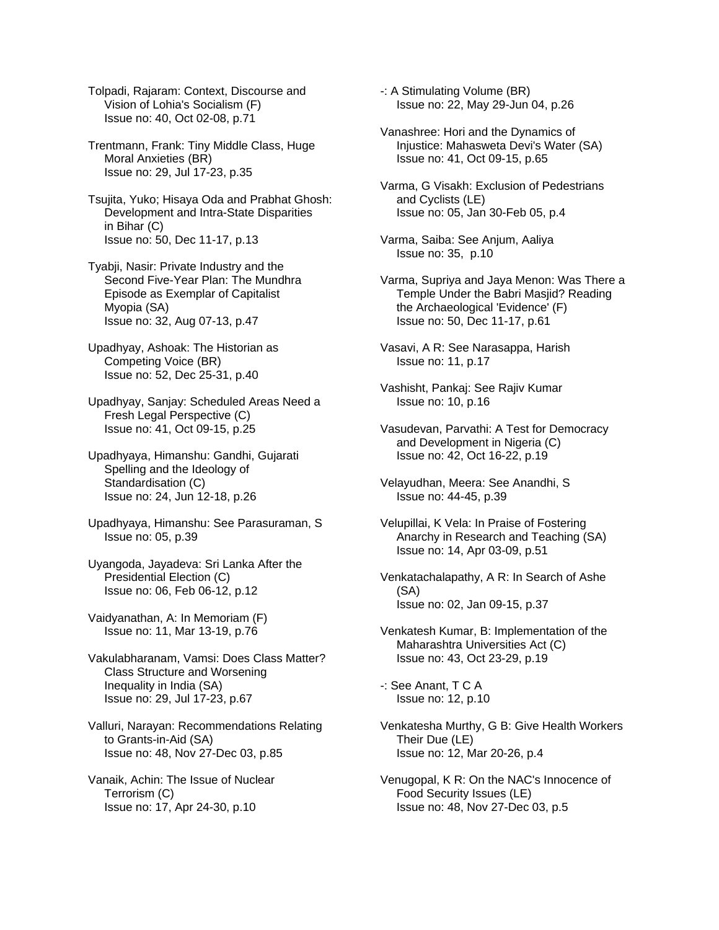Tolpadi, Rajaram: Context, Discourse and Vision of Lohia's Socialism (F) Issue no: 40, Oct 02-08, p.71

Trentmann, Frank: Tiny Middle Class, Huge Moral Anxieties (BR) Issue no: 29, Jul 17-23, p.35

Tsujita, Yuko; Hisaya Oda and Prabhat Ghosh: Development and Intra-State Disparities in Bihar (C) Issue no: 50, Dec 11-17, p.13

Tyabji, Nasir: Private Industry and the Second Five-Year Plan: The Mundhra Episode as Exemplar of Capitalist Myopia (SA) Issue no: 32, Aug 07-13, p.47

Upadhyay, Ashoak: The Historian as Competing Voice (BR) Issue no: 52, Dec 25-31, p.40

Upadhyay, Sanjay: Scheduled Areas Need a Fresh Legal Perspective (C) Issue no: 41, Oct 09-15, p.25

Upadhyaya, Himanshu: Gandhi, Gujarati Spelling and the Ideology of Standardisation (C) Issue no: 24, Jun 12-18, p.26

Upadhyaya, Himanshu: See Parasuraman, S Issue no: 05, p.39

Uyangoda, Jayadeva: Sri Lanka After the Presidential Election (C) Issue no: 06, Feb 06-12, p.12

Vaidyanathan, A: In Memoriam (F) Issue no: 11, Mar 13-19, p.76

Vakulabharanam, Vamsi: Does Class Matter? Class Structure and Worsening Inequality in India (SA) Issue no: 29, Jul 17-23, p.67

Valluri, Narayan: Recommendations Relating to Grants-in-Aid (SA) Issue no: 48, Nov 27-Dec 03, p.85

Vanaik, Achin: The Issue of Nuclear Terrorism (C) Issue no: 17, Apr 24-30, p.10

-: A Stimulating Volume (BR) Issue no: 22, May 29-Jun 04, p.26

Vanashree: Hori and the Dynamics of Injustice: Mahasweta Devi's Water (SA) Issue no: 41, Oct 09-15, p.65

Varma, G Visakh: Exclusion of Pedestrians and Cyclists (LE) Issue no: 05, Jan 30-Feb 05, p.4

Varma, Saiba: See Anjum, Aaliya Issue no: 35, p.10

Varma, Supriya and Jaya Menon: Was There a Temple Under the Babri Masjid? Reading the Archaeological 'Evidence' (F) Issue no: 50, Dec 11-17, p.61

Vasavi, A R: See Narasappa, Harish Issue no: 11, p.17

Vashisht, Pankaj: See Rajiv Kumar Issue no: 10, p.16

Vasudevan, Parvathi: A Test for Democracy and Development in Nigeria (C) Issue no: 42, Oct 16-22, p.19

Velayudhan, Meera: See Anandhi, S Issue no: 44-45, p.39

Velupillai, K Vela: In Praise of Fostering Anarchy in Research and Teaching (SA) Issue no: 14, Apr 03-09, p.51

Venkatachalapathy, A R: In Search of Ashe (SA) Issue no: 02, Jan 09-15, p.37

Venkatesh Kumar, B: Implementation of the Maharashtra Universities Act (C) Issue no: 43, Oct 23-29, p.19

-: See Anant, T C A Issue no: 12, p.10

Venkatesha Murthy, G B: Give Health Workers Their Due (LE) Issue no: 12, Mar 20-26, p.4

Venugopal, K R: On the NAC's Innocence of Food Security Issues (LE) Issue no: 48, Nov 27-Dec 03, p.5